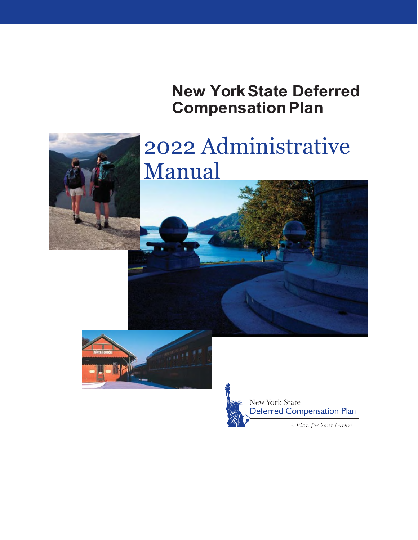**New York State Deferred Compensation Plan** 



# 2022 Administrative Manual



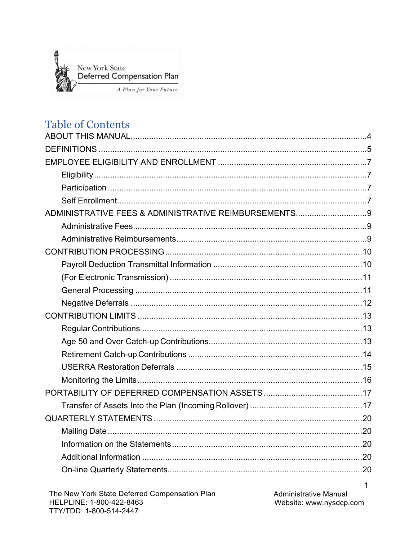

## **Table of Contents**

| ADMINISTRATIVE FEES & ADMINISTRATIVE REIMBURSEMENTS 9 |  |
|-------------------------------------------------------|--|
|                                                       |  |
|                                                       |  |
|                                                       |  |
|                                                       |  |
|                                                       |  |
|                                                       |  |
|                                                       |  |
|                                                       |  |
|                                                       |  |
|                                                       |  |
|                                                       |  |
|                                                       |  |
|                                                       |  |
|                                                       |  |
|                                                       |  |
|                                                       |  |
|                                                       |  |
|                                                       |  |
|                                                       |  |
|                                                       |  |

 $\mathbf{1}$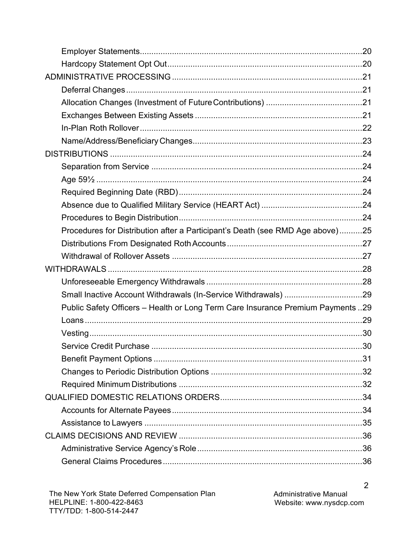| Procedures for Distribution after a Participant's Death (see RMD Age above)25   |  |
|---------------------------------------------------------------------------------|--|
|                                                                                 |  |
|                                                                                 |  |
|                                                                                 |  |
|                                                                                 |  |
|                                                                                 |  |
| Public Safety Officers - Health or Long Term Care Insurance Premium Payments 29 |  |
|                                                                                 |  |
|                                                                                 |  |
|                                                                                 |  |
|                                                                                 |  |
|                                                                                 |  |
|                                                                                 |  |
|                                                                                 |  |
|                                                                                 |  |
|                                                                                 |  |
|                                                                                 |  |
|                                                                                 |  |
|                                                                                 |  |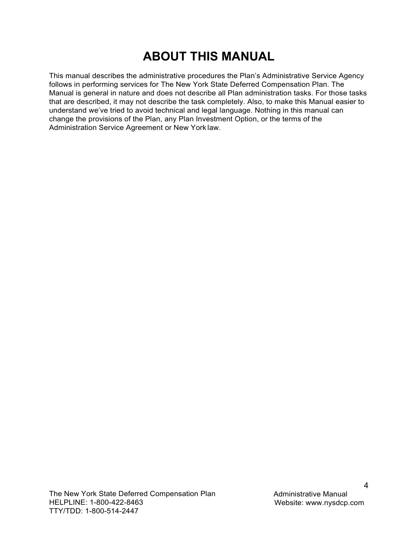## **ABOUT THIS MANUAL**

<span id="page-4-0"></span>This manual describes the administrative procedures the Plan's Administrative Service Agency follows in performing services for The New York State Deferred Compensation Plan. The Manual is general in nature and does not describe all Plan administration tasks. For those tasks that are described, it may not describe the task completely. Also, to make this Manual easier to understand we've tried to avoid technical and legal language. Nothing in this manual can change the provisions of the Plan, any Plan Investment Option, or the terms of the Administration Service Agreement or New York law.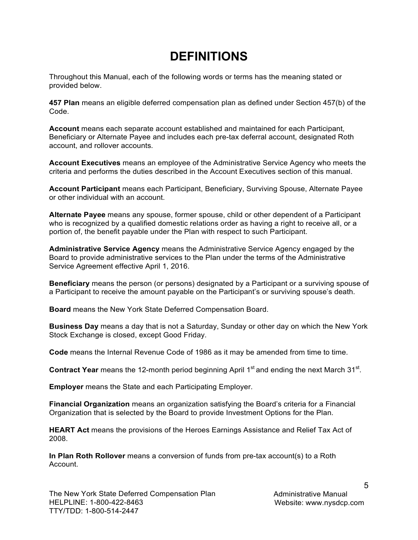## **DEFINITIONS**

<span id="page-5-0"></span>Throughout this Manual, each of the following words or terms has the meaning stated or provided below.

**457 Plan** means an eligible deferred compensation plan as defined under Section 457(b) of the Code.

**Account** means each separate account established and maintained for each Participant, Beneficiary or Alternate Payee and includes each pre-tax deferral account, designated Roth account, and rollover accounts.

**Account Executives** means an employee of the Administrative Service Agency who meets the criteria and performs the duties described in the Account Executives section of this manual.

**Account Participant** means each Participant, Beneficiary, Surviving Spouse, Alternate Payee or other individual with an account.

**Alternate Payee** means any spouse, former spouse, child or other dependent of a Participant who is recognized by a qualified domestic relations order as having a right to receive all, or a portion of, the benefit payable under the Plan with respect to such Participant.

**Administrative Service Agency** means the Administrative Service Agency engaged by the Board to provide administrative services to the Plan under the terms of the Administrative Service Agreement effective April 1, 2016.

**Beneficiary** means the person (or persons) designated by a Participant or a surviving spouse of a Participant to receive the amount payable on the Participant's or surviving spouse's death.

**Board** means the New York State Deferred Compensation Board.

**Business Day** means a day that is not a Saturday, Sunday or other day on which the New York Stock Exchange is closed, except Good Friday.

**Code** means the Internal Revenue Code of 1986 as it may be amended from time to time.

**Contract Year** means the 12-month period beginning April 1<sup>st</sup> and ending the next March 31<sup>st</sup>.

**Employer** means the State and each Participating Employer.

**Financial Organization** means an organization satisfying the Board's criteria for a Financial Organization that is selected by the Board to provide Investment Options for the Plan.

**HEART Act** means the provisions of the Heroes Earnings Assistance and Relief Tax Act of 2008.

**In Plan Roth Rollover** means a conversion of funds from pre-tax account(s) to a Roth Account.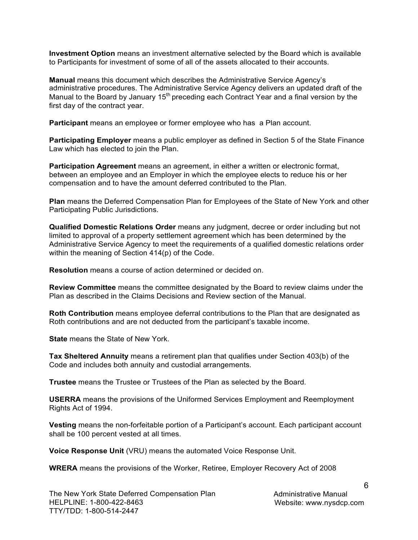**Investment Option** means an investment alternative selected by the Board which is available to Participants for investment of some of all of the assets allocated to their accounts.

**Manual** means this document which describes the Administrative Service Agency's administrative procedures. The Administrative Service Agency delivers an updated draft of the Manual to the Board by January  $15<sup>th</sup>$  preceding each Contract Year and a final version by the first day of the contract year.

**Participant** means an employee or former employee who has a Plan account.

**Participating Employer** means a public employer as defined in Section 5 of the State Finance Law which has elected to join the Plan.

**Participation Agreement** means an agreement, in either a written or electronic format, between an employee and an Employer in which the employee elects to reduce his or her compensation and to have the amount deferred contributed to the Plan.

**Plan** means the Deferred Compensation Plan for Employees of the State of New York and other Participating Public Jurisdictions.

**Qualified Domestic Relations Order** means any judgment, decree or order including but not limited to approval of a property settlement agreement which has been determined by the Administrative Service Agency to meet the requirements of a qualified domestic relations order within the meaning of Section 414(p) of the Code.

**Resolution** means a course of action determined or decided on.

**Review Committee** means the committee designated by the Board to review claims under the Plan as described in the Claims Decisions and Review section of the Manual.

**Roth Contribution** means employee deferral contributions to the Plan that are designated as Roth contributions and are not deducted from the participant's taxable income.

**State** means the State of New York.

**Tax Sheltered Annuity** means a retirement plan that qualifies under Section 403(b) of the Code and includes both annuity and custodial arrangements.

**Trustee** means the Trustee or Trustees of the Plan as selected by the Board.

**USERRA** means the provisions of the Uniformed Services Employment and Reemployment Rights Act of 1994.

**Vesting** means the non-forfeitable portion of a Participant's account. Each participant account shall be 100 percent vested at all times.

**Voice Response Unit** (VRU) means the automated Voice Response Unit.

**WRERA** means the provisions of the Worker, Retiree, Employer Recovery Act of 2008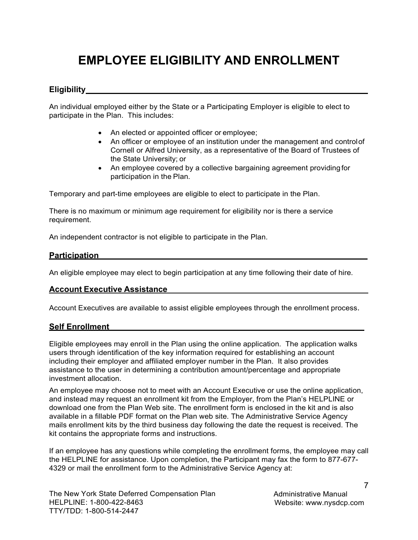## <span id="page-7-0"></span>**EMPLOYEE ELIGIBILITY AND ENROLLMENT**

## <span id="page-7-1"></span>**Eligibility**

An individual employed either by the State or a Participating Employer is eligible to elect to participate in the Plan. This includes:

- An elected or appointed officer or employee;
- An officer or employee of an institution under the management and control of Cornell or Alfred University, as a representative of the Board of Trustees of the State University; or
- An employee covered by a collective bargaining agreement providing for participation in the Plan.

Temporary and part-time employees are eligible to elect to participate in the Plan.

There is no maximum or minimum age requirement for eligibility nor is there a service requirement.

An independent contractor is not eligible to participate in the Plan.

### <span id="page-7-2"></span>**Participation**

An eligible employee may elect to begin participation at any time following their date of hire.

### **Account Executive Assistance**

Account Executives are available to assist eligible employees through the enrollment process.

### <span id="page-7-3"></span>**Self Enrollment**

Eligible employees may enroll in the Plan using the online application. The application walks users through identification of the key information required for establishing an account including their employer and affiliated employer number in the Plan. It also provides assistance to the user in determining a contribution amount/percentage and appropriate investment allocation.

An employee may choose not to meet with an Account Executive or use the online application, and instead may request an enrollment kit from the Employer, from the Plan's HELPLINE or download one from the Plan Web site. The enrollment form is enclosed in the kit and is also available in a fillable PDF format on the Plan web site. The Administrative Service Agency mails enrollment kits by the third business day following the date the request is received. The kit contains the appropriate forms and instructions.

If an employee has any questions while completing the enrollment forms, the employee may call the HELPLINE for assistance. Upon completion, the Participant may fax the form to 877-677- 4329 or mail the enrollment form to the Administrative Service Agency at:

7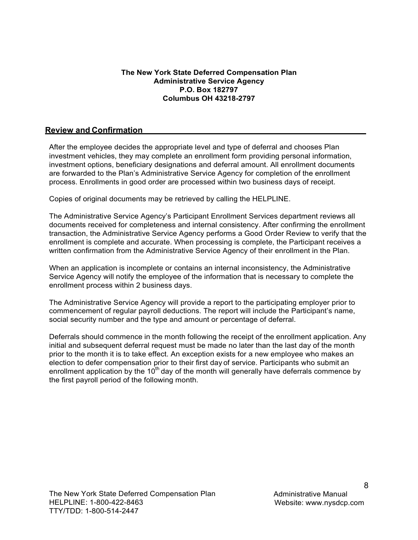#### **The New York State Deferred Compensation Plan Administrative Service Agency P.O. Box 182797 Columbus OH 43218-2797**

#### **Review and Confirmation**

After the employee decides the appropriate level and type of deferral and chooses Plan investment vehicles, they may complete an enrollment form providing personal information, investment options, beneficiary designations and deferral amount. All enrollment documents are forwarded to the Plan's Administrative Service Agency for completion of the enrollment process. Enrollments in good order are processed within two business days of receipt.

Copies of original documents may be retrieved by calling the HELPLINE.

The Administrative Service Agency's Participant Enrollment Services department reviews all documents received for completeness and internal consistency. After confirming the enrollment transaction, the Administrative Service Agency performs a Good Order Review to verify that the enrollment is complete and accurate. When processing is complete, the Participant receives a written confirmation from the Administrative Service Agency of their enrollment in the Plan.

When an application is incomplete or contains an internal inconsistency, the Administrative Service Agency will notify the employee of the information that is necessary to complete the enrollment process within 2 business days.

The Administrative Service Agency will provide a report to the participating employer prior to commencement of regular payroll deductions. The report will include the Participant's name, social security number and the type and amount or percentage of deferral.

Deferrals should commence in the month following the receipt of the enrollment application. Any initial and subsequent deferral request must be made no later than the last day of the month prior to the month it is to take effect. An exception exists for a new employee who makes an election to defer compensation prior to their first day of service. Participants who submit an enrollment application by the 10<sup>th</sup> day of the month will generally have deferrals commence by the first payroll period of the following month.

8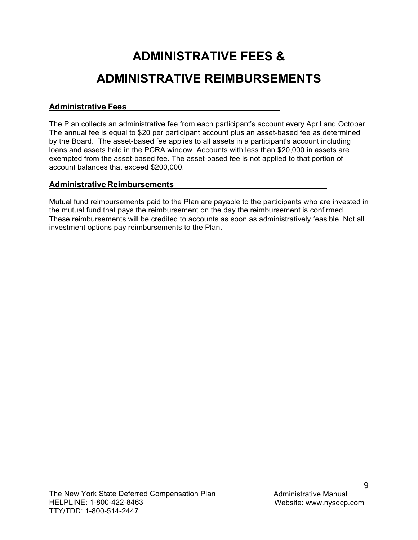## <span id="page-9-0"></span>**ADMINISTRATIVE FEES & ADMINISTRATIVE REIMBURSEMENTS**

## <span id="page-9-1"></span>**Administrative Fees**

The Plan collects an administrative fee from each participant's account every April and October. The annual fee is equal to \$20 per participant account plus an asset-based fee as determined by the Board. The asset-based fee applies to all assets in a participant's account including loans and assets held in the PCRA window. Accounts with less than \$20,000 in assets are exempted from the asset-based fee. The asset-based fee is not applied to that portion of account balances that exceed \$200,000.

## <span id="page-9-2"></span>**Administrative Reimbursements**

Mutual fund reimbursements paid to the Plan are payable to the participants who are invested in the mutual fund that pays the reimbursement on the day the reimbursement is confirmed. These reimbursements will be credited to accounts as soon as administratively feasible. Not all investment options pay reimbursements to the Plan.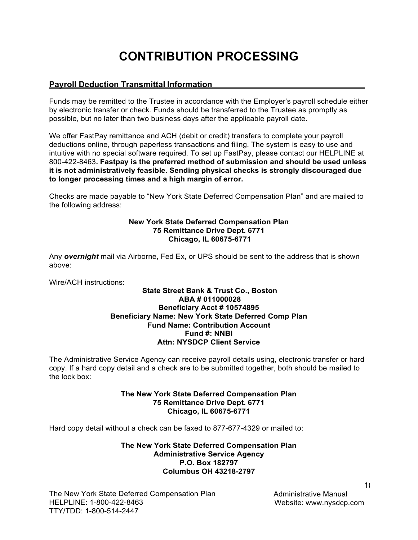## **CONTRIBUTION PROCESSING**

## <span id="page-10-1"></span><span id="page-10-0"></span>**Payroll Deduction Transmittal Information**

Funds may be remitted to the Trustee in accordance with the Employer's payroll schedule either by electronic transfer or check. Funds should be transferred to the Trustee as promptly as possible, but no later than two business days after the applicable payroll date.

We offer FastPay remittance and ACH (debit or credit) transfers to complete your payroll deductions online, through paperless transactions and filing. The system is easy to use and intuitive with no special software required. To set up FastPay, please contact our HELPLINE at 800-422-8463**. Fastpay is the preferred method of submission and should be used unless it is not administratively feasible. Sending physical checks is strongly discouraged due to longer processing times and a high margin of error.**

Checks are made payable to "New York State Deferred Compensation Plan" and are mailed to the following address:

#### **New York State Deferred Compensation Plan 75 Remittance Drive Dept. 6771 Chicago, IL 60675-6771**

Any *overnight* mail via Airborne, Fed Ex, or UPS should be sent to the address that is shown above:

Wire/ACH instructions:

#### **State Street Bank & Trust Co., Boston ABA # 011000028 Beneficiary Acct # 10574895 Beneficiary Name: New York State Deferred Comp Plan Fund Name: Contribution Account Fund #: NNBI Attn: NYSDCP Client Service**

The Administrative Service Agency can receive payroll details using, electronic transfer or hard copy. If a hard copy detail and a check are to be submitted together, both should be mailed to the lock box:

#### **The New York State Deferred Compensation Plan 75 Remittance Drive Dept. 6771 Chicago, IL 60675-6771**

Hard copy detail without a check can be faxed to 877-677-4329 or mailed to:

**The New York State Deferred Compensation Plan Administrative Service Agency P.O. Box 182797 Columbus OH 43218-2797** 

The New York State Deferred Compensation Plan HELPLINE: 1-800-422-8463 TTY/TDD: 1-800-514-2447

Administrative Manual Website: [www.nysdcp.com](http://www.nysdcp.com/)

 $1<sup>1</sup>$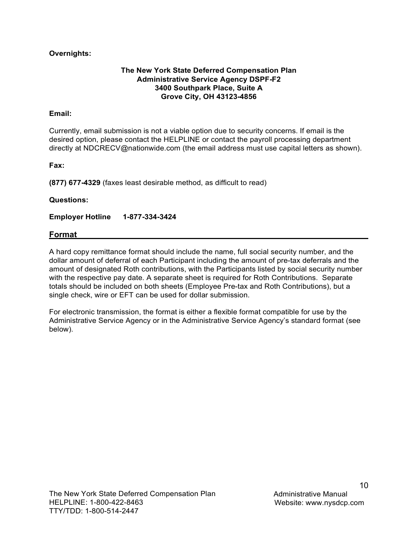### **Overnights:**

### **The New York State Deferred Compensation Plan Administrative Service Agency DSPF-F2 3400 Southpark Place, Suite A Grove City, OH 43123-4856**

### **Email:**

Currently, email submission is not a viable option due to security concerns. If email is the desired option, please contact the HELPLINE or contact the payroll processing department directly at [NDCRECV@nationwide.com \(](mailto:NDCRECV@nationwide.com)the email address must use capital letters as shown).

**Fax:** 

**(877) 677-4329** (faxes least desirable method, as difficult to read)

#### **Questions:**

**Employer Hotline 1-877-334-3424** 

#### **Format**

A hard copy remittance format should include the name, full social security number, and the dollar amount of deferral of each Participant including the amount of pre-tax deferrals and the amount of designated Roth contributions, with the Participants listed by social security number with the respective pay date. A separate sheet is required for Roth Contributions. Separate totals should be included on both sheets (Employee Pre-tax and Roth Contributions), but a single check, wire or EFT can be used for dollar submission.

For electronic transmission, the format is either a flexible format compatible for use by the Administrative Service Agency or in the Administrative Service Agency's standard format (see below).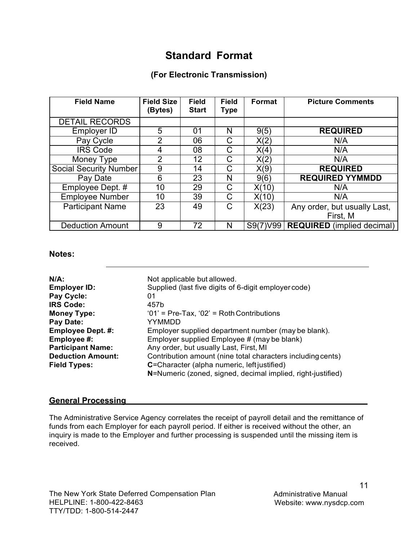## **Standard Format**

## **(For Electronic Transmission)**

<span id="page-12-0"></span>

| <b>Field Name</b>       | <b>Field Size</b> | <b>Field</b> | <b>Field</b> | Format   | <b>Picture Comments</b>           |
|-------------------------|-------------------|--------------|--------------|----------|-----------------------------------|
|                         | (Bytes)           | <b>Start</b> | <b>Type</b>  |          |                                   |
| <b>DETAIL RECORDS</b>   |                   |              |              |          |                                   |
| Employer ID             | 5                 | 01           | N            | 9(5)     | <b>REQUIRED</b>                   |
| Pay Cycle               | 2                 | 06           | C            | X(2)     | N/A                               |
| <b>IRS Code</b>         | 4                 | 08           | C            | X(4)     | N/A                               |
| Money Type              | 2                 | 12           | С            | X(2)     | N/A                               |
| Social Security Number  | 9                 | 14           | C            | X(9)     | <b>REQUIRED</b>                   |
| Pay Date                | 6                 | 23           | N            | 9(6)     | <b>REQUIRED YYMMDD</b>            |
| Employee Dept. #        | 10                | 29           | С            | X(10)    | N/A                               |
| <b>Employee Number</b>  | 10                | 39           | C            | X(10)    | N/A                               |
| <b>Participant Name</b> | 23                | 49           | C            | X(23)    | Any order, but usually Last,      |
|                         |                   |              |              |          | First, M                          |
| <b>Deduction Amount</b> | 9                 | 72           | N            | S9(7)V99 | <b>REQUIRED</b> (implied decimal) |

#### **Notes:**

| $N/A$ :                  | Not applicable but allowed.                                 |
|--------------------------|-------------------------------------------------------------|
| <b>Employer ID:</b>      | Supplied (last five digits of 6-digit employer code)        |
| Pay Cycle:               | 01                                                          |
| <b>IRS Code:</b>         | 457b                                                        |
| <b>Money Type:</b>       | $'01'$ = Pre-Tax, $'02'$ = Roth Contributions               |
| Pay Date:                | YYMMDD                                                      |
| <b>Employee Dept. #:</b> | Employer supplied department number (may be blank).         |
| Employee #:              | Employer supplied Employee # (may be blank)                 |
| <b>Participant Name:</b> | Any order, but usually Last, First, MI                      |
| <b>Deduction Amount:</b> | Contribution amount (nine total characters including cents) |
| <b>Field Types:</b>      | C=Character (alpha numeric, left justified)                 |
|                          | N=Numeric (zoned, signed, decimal implied, right-justified) |

### <span id="page-12-1"></span>**General Processing**

The Administrative Service Agency correlates the receipt of payroll detail and the remittance of funds from each Employer for each payroll period. If either is received without the other, an inquiry is made to the Employer and further processing is suspended until the missing item is received.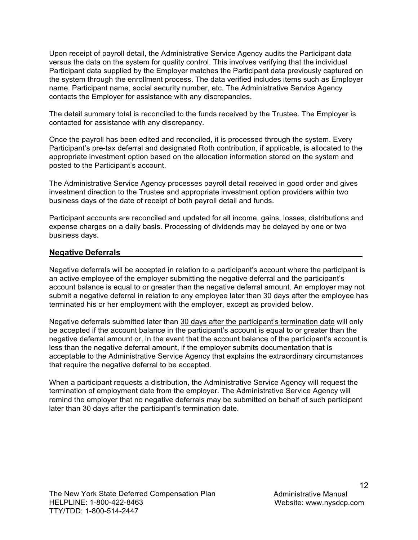Upon receipt of payroll detail, the Administrative Service Agency audits the Participant data versus the data on the system for quality control. This involves verifying that the individual Participant data supplied by the Employer matches the Participant data previously captured on the system through the enrollment process. The data verified includes items such as Employer name, Participant name, social security number, etc. The Administrative Service Agency contacts the Employer for assistance with any discrepancies.

The detail summary total is reconciled to the funds received by the Trustee. The Employer is contacted for assistance with any discrepancy.

Once the payroll has been edited and reconciled, it is processed through the system. Every Participant's pre-tax deferral and designated Roth contribution, if applicable, is allocated to the appropriate investment option based on the allocation information stored on the system and posted to the Participant's account.

The Administrative Service Agency processes payroll detail received in good order and gives investment direction to the Trustee and appropriate investment option providers within two business days of the date of receipt of both payroll detail and funds.

Participant accounts are reconciled and updated for all income, gains, losses, distributions and expense charges on a daily basis. Processing of dividends may be delayed by one or two business days.

### <span id="page-13-0"></span>**Negative Deferrals**

Negative deferrals will be accepted in relation to a participant's account where the participant is an active employee of the employer submitting the negative deferral and the participant's account balance is equal to or greater than the negative deferral amount. An employer may not submit a negative deferral in relation to any employee later than 30 days after the employee has terminated his or her employment with the employer, except as provided below.

Negative deferrals submitted later than 30 days after the participant's termination date will only be accepted if the account balance in the participant's account is equal to or greater than the negative deferral amount or, in the event that the account balance of the participant's account is less than the negative deferral amount, if the employer submits documentation that is acceptable to the Administrative Service Agency that explains the extraordinary circumstances that require the negative deferral to be accepted.

When a participant requests a distribution, the Administrative Service Agency will request the termination of employment date from the employer. The Administrative Service Agency will remind the employer that no negative deferrals may be submitted on behalf of such participant later than 30 days after the participant's termination date.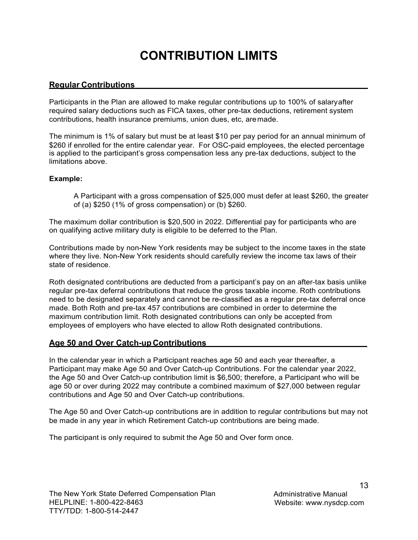## **CONTRIBUTION LIMITS**

## <span id="page-14-1"></span><span id="page-14-0"></span>**Regular Contributions**

Participants in the Plan are allowed to make regular contributions up to 100% of salary after required salary deductions such as FICA taxes, other pre-tax deductions, retirement system contributions, health insurance premiums, union dues, etc, are made.

The minimum is 1% of salary but must be at least \$10 per pay period for an annual minimum of \$260 if enrolled for the entire calendar year. For OSC-paid employees, the elected percentage is applied to the participant's gross compensation less any pre-tax deductions, subject to the limitations above.

#### **Example:**

A Participant with a gross compensation of \$25,000 must defer at least \$260, the greater of (a) \$250 (1% of gross compensation) or (b) \$260.

The maximum dollar contribution is \$20,500 in 2022. Differential pay for participants who are on qualifying active military duty is eligible to be deferred to the Plan.

Contributions made by non-New York residents may be subject to the income taxes in the state where they live. Non-New York residents should carefully review the income tax laws of their state of residence.

Roth designated contributions are deducted from a participant's pay on an after-tax basis unlike regular pre-tax deferral contributions that reduce the gross taxable income. Roth contributions need to be designated separately and cannot be re-classified as a regular pre-tax deferral once made. Both Roth and pre-tax 457 contributions are combined in order to determine the maximum contribution limit. Roth designated contributions can only be accepted from employees of employers who have elected to allow Roth designated contributions.

### <span id="page-14-2"></span>**Age 50 and Over Catch-up Contributions**

In the calendar year in which a Participant reaches age 50 and each year thereafter, a Participant may make Age 50 and Over Catch-up Contributions. For the calendar year 2022, the Age 50 and Over Catch-up contribution limit is \$6,500; therefore, a Participant who will be age 50 or over during 2022 may contribute a combined maximum of \$27,000 between regular contributions and Age 50 and Over Catch-up contributions.

The Age 50 and Over Catch-up contributions are in addition to regular contributions but may not be made in any year in which Retirement Catch-up contributions are being made.

The participant is only required to submit the Age 50 and Over form once.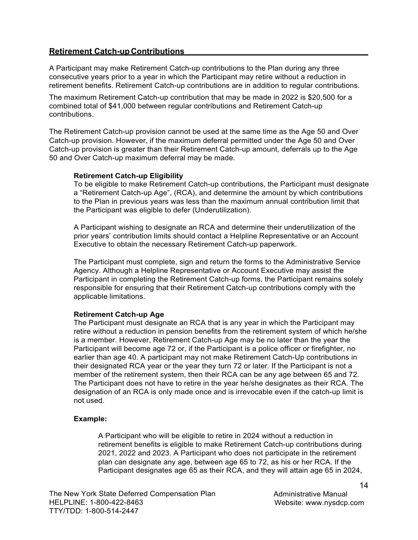### <span id="page-15-0"></span>**Retirement Catch-up Contributions**

A Participant may make Retirement Catch-up contributions to the Plan during any three consecutive years prior to a year in which the Participant may retire without a reduction in retirement benefits. Retirement Catch-up contributions are in addition to regular contributions.

The maximum Retirement Catch-up contribution that may be made in 2022 is \$20,500 for a combined total of \$41,000 between regular contributions and Retirement Catch-up contributions.

The Retirement Catch-up provision cannot be used at the same time as the Age 50 and Over Catch-up provision. However, if the maximum deferral permitted under the Age 50 and Over Catch-up provision is greater than their Retirement Catch-up amount, deferrals up to the Age 50 and Over Catch-up maximum deferral may be made.

#### **Retirement Catch-up Eligibility**

To be eligible to make Retirement Catch-up contributions, the Participant must designate a "Retirement Catch-up Age", (RCA), and determine the amount by which contributions to the Plan in previous years was less than the maximum annual contribution limit that the Participant was eligible to defer (Underutilization).

A Participant wishing to designate an RCA and determine their underutilization of the prior years' contribution limits should contact a Helpline Representative or an Account Executive to obtain the necessary Retirement Catch-up paperwork.

The Participant must complete, sign and return the forms to the Administrative Service Agency. Although a Helpline Representative or Account Executive may assist the Participant in completing the Retirement Catch-up forms, the Participant remains solely responsible for ensuring that their Retirement Catch-up contributions comply with the applicable limitations.

#### **Retirement Catch-up Age**

The Participant must designate an RCA that is any year in which the Participant may retire without a reduction in pension benefits from the retirement system of which he/she is a member. However, Retirement Catch-up Age may be no later than the year the Participant will become age 72 or, if the Participant is a police officer or firefighter, no earlier than age 40. A participant may not make Retirement Catch-Up contributions in their designated RCA year or the year they turn 72 or later. If the Participant is not a member of the retirement system, then their RCA can be any age between 65 and 72. The Participant does not have to retire in the year he/she designates as their RCA. The designation of an RCA is only made once and is irrevocable even if the catch-up limit is not used.

#### **Example:**

A Participant who will be eligible to retire in 2024 without a reduction in retirement benefits is eligible to make Retirement Catch-up contributions during 2021, 2022 and 2023. A Participant who does not participate in the retirement plan can designate any age, between age 65 to 72, as his or her RCA. If the Participant designates age 65 as their RCA, and they will attain age 65 in 2024,

Administrative Manual Website: [www.nysdcp.com](http://www.nysdcp.com/)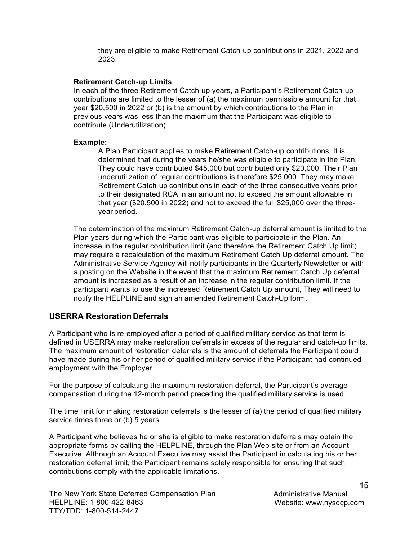they are eligible to make Retirement Catch-up contributions in 2021, 2022 and 2023.

#### **Retirement Catch-up Limits**

In each of the three Retirement Catch-up years, a Participant's Retirement Catch-up contributions are limited to the lesser of (a) the maximum permissible amount for that year \$20,500 in 2022 or (b) is the amount by which contributions to the Plan in previous years was less than the maximum that the Participant was eligible to contribute (Underutilization).

#### **Example:**

A Plan Participant applies to make Retirement Catch-up contributions. It is determined that during the years he/she was eligible to participate in the Plan, They could have contributed \$45,000 but contributed only \$20,000. Their Plan underutilization of regular contributions is therefore \$25,000. They may make Retirement Catch-up contributions in each of the three consecutive years prior to their designated RCA in an amount not to exceed the amount allowable in that year (\$20,500 in 2022) and not to exceed the full \$25,000 over the threeyear period.

The determination of the maximum Retirement Catch-up deferral amount is limited to the Plan years during which the Participant was eligible to participate in the Plan. An increase in the regular contribution limit (and therefore the Retirement Catch Up limit) may require a recalculation of the maximum Retirement Catch Up deferral amount. The Administrative Service Agency will notify participants in the Quarterly Newsletter or with a posting on the Website in the event that the maximum Retirement Catch Up deferral amount is increased as a result of an increase in the regular contribution limit. If the participant wants to use the increased Retirement Catch Up amount, They will need to notify the HELPLINE and sign an amended Retirement Catch-Up form.

### <span id="page-16-0"></span>**USERRA Restoration Deferrals**

A Participant who is re-employed after a period of qualified military service as that term is defined in USERRA may make restoration deferrals in excess of the regular and catch-up limits. The maximum amount of restoration deferrals is the amount of deferrals the Participant could have made during his or her period of qualified military service if the Participant had continued employment with the Employer.

For the purpose of calculating the maximum restoration deferral, the Participant's average compensation during the 12-month period preceding the qualified military service is used.

The time limit for making restoration deferrals is the lesser of (a) the period of qualified military service times three or (b) 5 years.

A Participant who believes he or she is eligible to make restoration deferrals may obtain the appropriate forms by calling the HELPLINE, through the Plan Web site or from an Account Executive. Although an Account Executive may assist the Participant in calculating his or her restoration deferral limit, the Participant remains solely responsible for ensuring that such contributions comply with the applicable limitations.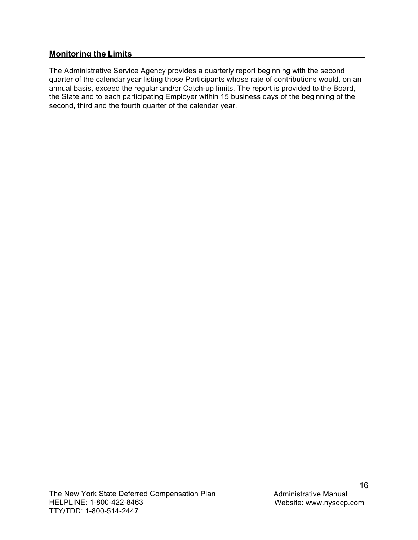## <span id="page-17-0"></span>**Monitoring the Limits**

The Administrative Service Agency provides a quarterly report beginning with the second quarter of the calendar year listing those Participants whose rate of contributions would, on an annual basis, exceed the regular and/or Catch-up limits. The report is provided to the Board, the State and to each participating Employer within 15 business days of the beginning of the second, third and the fourth quarter of the calendar year.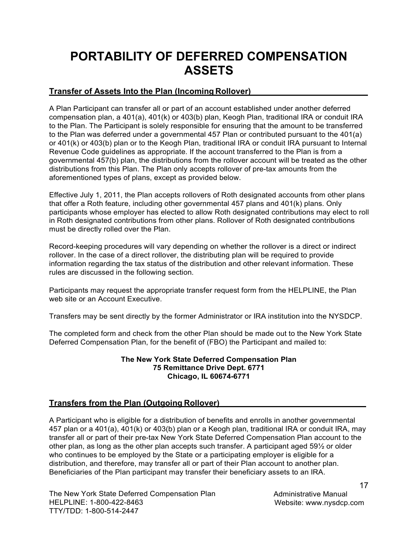## <span id="page-18-0"></span>**PORTABILITY OF DEFERRED COMPENSATION ASSETS**

## <span id="page-18-1"></span>**Transfer of Assets Into the Plan (Incoming Rollover)**

A Plan Participant can transfer all or part of an account established under another deferred compensation plan, a 401(a), 401(k) or 403(b) plan, Keogh Plan, traditional IRA or conduit IRA to the Plan. The Participant is solely responsible for ensuring that the amount to be transferred to the Plan was deferred under a governmental 457 Plan or contributed pursuant to the 401(a) or 401(k) or 403(b) plan or to the Keogh Plan, traditional IRA or conduit IRA pursuant to Internal Revenue Code guidelines as appropriate. If the account transferred to the Plan is from a governmental 457(b) plan, the distributions from the rollover account will be treated as the other distributions from this Plan. The Plan only accepts rollover of pre-tax amounts from the aforementioned types of plans, except as provided below.

Effective July 1, 2011, the Plan accepts rollovers of Roth designated accounts from other plans that offer a Roth feature, including other governmental 457 plans and 401(k) plans. Only participants whose employer has elected to allow Roth designated contributions may elect to roll in Roth designated contributions from other plans. Rollover of Roth designated contributions must be directly rolled over the Plan.

Record-keeping procedures will vary depending on whether the rollover is a direct or indirect rollover. In the case of a direct rollover, the distributing plan will be required to provide information regarding the tax status of the distribution and other relevant information. These rules are discussed in the following section.

Participants may request the appropriate transfer request form from the HELPLINE, the Plan web site or an Account Executive.

Transfers may be sent directly by the former Administrator or IRA institution into the NYSDCP.

The completed form and check from the other Plan should be made out to the New York State Deferred Compensation Plan, for the benefit of (FBO) the Participant and mailed to:

#### **The New York State Deferred Compensation Plan 75 Remittance Drive Dept. 6771 Chicago, IL 60674-6771**

## **Transfers from the Plan (Outgoing Rollover)**

A Participant who is eligible for a distribution of benefits and enrolls in another governmental 457 plan or a 401(a), 401(k) or 403(b) plan or a Keogh plan, traditional IRA or conduit IRA, may transfer all or part of their pre-tax New York State Deferred Compensation Plan account to the other plan, as long as the other plan accepts such transfer. A participant aged 59½ or older who continues to be employed by the State or a participating employer is eligible for a distribution, and therefore, may transfer all or part of their Plan account to another plan. Beneficiaries of the Plan participant may transfer their beneficiary assets to an IRA.

The New York State Deferred Compensation Plan HELPLINE: 1-800-422-8463 TTY/TDD: 1-800-514-2447

Administrative Manual Website: [www.nysdcp.com](http://www.nysdcp.com/)

17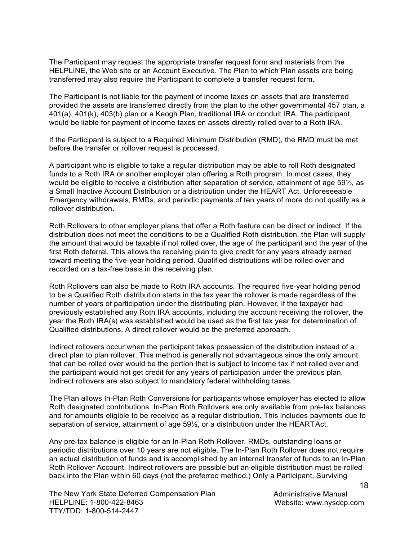The Participant may request the appropriate transfer request form and materials from the HELPLINE, the Web site or an Account Executive. The Plan to which Plan assets are being transferred may also require the Participant to complete a transfer request form.

The Participant is not liable for the payment of income taxes on assets that are transferred provided the assets are transferred directly from the plan to the other governmental 457 plan, a 401(a), 401(k), 403(b) plan or a Keogh Plan, traditional IRA or conduit IRA. The participant would be liable for payment of income taxes on assets directly rolled over to a Roth IRA.

If the Participant is subject to a Required Minimum Distribution (RMD), the RMD must be met before the transfer or rollover request is processed.

A participant who is eligible to take a regular distribution may be able to roll Roth designated funds to a Roth IRA or another employer plan offering a Roth program. In most cases, they would be eligible to receive a distribution after separation of service, attainment of age 59½, as a Small Inactive Account Distribution or a distribution under the HEART Act. Unforeseeable Emergency withdrawals, RMDs, and periodic payments of ten years of more do not qualify as a rollover distribution.

Roth Rollovers to other employer plans that offer a Roth feature can be direct or indirect. If the distribution does not meet the conditions to be a Qualified Roth distribution, the Plan will supply the amount that would be taxable if not rolled over, the age of the participant and the year of the first Roth deferral. This allows the receiving plan to give credit for any years already earned toward meeting the five-year holding period. Qualified distributions will be rolled over and recorded on a tax-free basis in the receiving plan.

Roth Rollovers can also be made to Roth IRA accounts. The required five-year holding period to be a Qualified Roth distribution starts in the tax year the rollover is made regardless of the number of years of participation under the distributing plan. However, if the taxpayer had previously established any Roth IRA accounts, including the account receiving the rollover, the year the Roth IRA(s) was established would be used as the first tax year for determination of Qualified distributions. A direct rollover would be the preferred approach.

Indirect rollovers occur when the participant takes possession of the distribution instead of a direct plan to plan rollover. This method is generally not advantageous since the only amount that can be rolled over would be the portion that is subject to income tax if not rolled over and the participant would not get credit for any years of participation under the previous plan. Indirect rollovers are also subject to mandatory federal withholding taxes.

The Plan allows In-Plan Roth Conversions for participants whose employer has elected to allow Roth designated contributions. In-Plan Roth Rollovers are only available from pre-tax balances and for amounts eligible to be received as a regular distribution. This includes payments due to separation of service, attainment of age 59½, or a distribution under the HEART Act.

Any pre-tax balance is eligible for an In-Plan Roth Rollover. RMDs, outstanding loans or periodic distributions over 10 years are not eligible. The In-Plan Roth Rollover does not require an actual distribution of funds and is accomplished by an internal transfer of funds to an In-Plan Roth Rollover Account. Indirect rollovers are possible but an eligible distribution must be rolled back into the Plan within 60 days (not the preferred method.) Only a Participant, Surviving

The New York State Deferred Compensation Plan HELPLINE: 1-800-422-8463 TTY/TDD: 1-800-514-2447

Administrative Manual Website: [www.nysdcp.com](http://www.nysdcp.com/)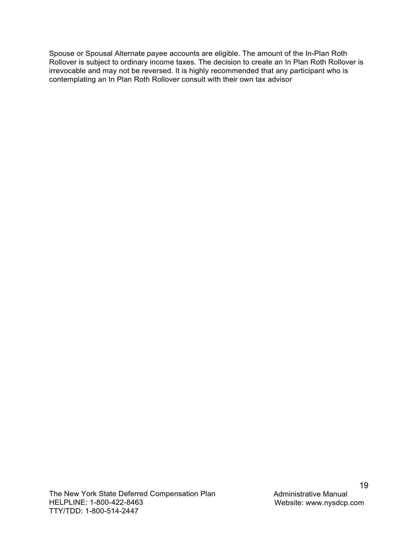Spouse or Spousal Alternate payee accounts are eligible. The amount of the In-Plan Roth Rollover is subject to ordinary income taxes. The decision to create an In Plan Roth Rollover is irrevocable and may not be reversed. It is highly recommended that any participant who is contemplating an In Plan Roth Rollover consult with their own tax advisor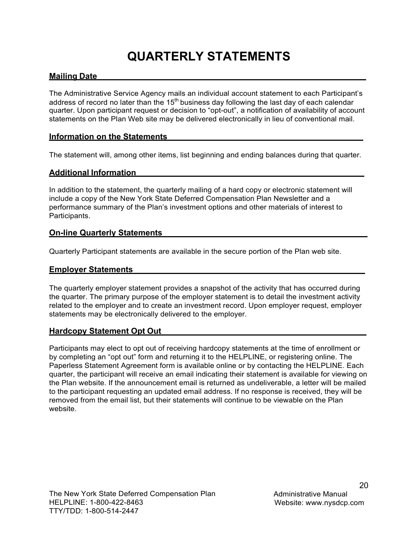## **QUARTERLY STATEMENTS**

## <span id="page-21-1"></span><span id="page-21-0"></span>**Mailing Date**

The Administrative Service Agency mails an individual account statement to each Participant's address of record no later than the  $15<sup>th</sup>$  business day following the last day of each calendar quarter. Upon participant request or decision to "opt-out", a notification of availability of account statements on the Plan Web site may be delivered electronically in lieu of conventional mail.

## <span id="page-21-2"></span>**Information on the Statements**

The statement will, among other items, list beginning and ending balances during that quarter.

### <span id="page-21-3"></span>**Additional Information**

In addition to the statement, the quarterly mailing of a hard copy or electronic statement will include a copy of the New York State Deferred Compensation Plan Newsletter and a performance summary of the Plan's investment options and other materials of interest to Participants.

### <span id="page-21-4"></span>**On-line Quarterly Statements**

Quarterly Participant statements are available in the secure portion of the Plan web site.

### <span id="page-21-5"></span>**Employer Statements**

The quarterly employer statement provides a snapshot of the activity that has occurred during the quarter. The primary purpose of the employer statement is to detail the investment activity related to the employer and to create an investment record. Upon employer request, employer statements may be electronically delivered to the employer.

### <span id="page-21-6"></span>**Hardcopy Statement Opt Out**

Participants may elect to opt out of receiving hardcopy statements at the time of enrollment or by completing an "opt out" form and returning it to the HELPLINE, or registering online. The Paperless Statement Agreement form is available online or by contacting the HELPLINE. Each quarter, the participant will receive an email indicating their statement is available for viewing on the Plan website. If the announcement email is returned as undeliverable, a letter will be mailed to the participant requesting an updated email address. If no response is received, they will be removed from the email list, but their statements will continue to be viewable on the Plan website.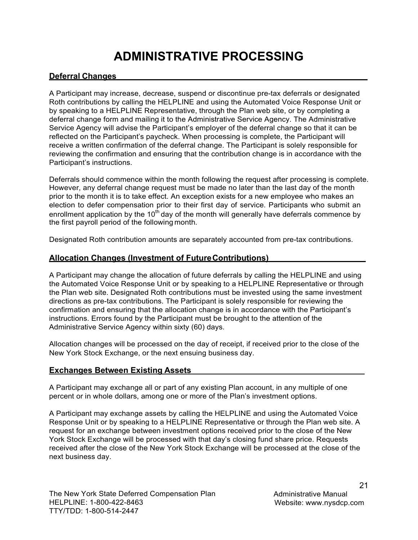## **ADMINISTRATIVE PROCESSING**

## <span id="page-22-1"></span><span id="page-22-0"></span>**Deferral Changes**

A Participant may increase, decrease, suspend or discontinue pre-tax deferrals or designated Roth contributions by calling the HELPLINE and using the Automated Voice Response Unit or by speaking to a HELPLINE Representative, through the Plan web site, or by completing a deferral change form and mailing it to the Administrative Service Agency. The Administrative Service Agency will advise the Participant's employer of the deferral change so that it can be reflected on the Participant's paycheck. When processing is complete, the Participant will receive a written confirmation of the deferral change. The Participant is solely responsible for reviewing the confirmation and ensuring that the contribution change is in accordance with the Participant's instructions.

Deferrals should commence within the month following the request after processing is complete. However, any deferral change request must be made no later than the last day of the month prior to the month it is to take effect. An exception exists for a new employee who makes an election to defer compensation prior to their first day of service. Participants who submit an enrollment application by the  $10<sup>th</sup>$  day of the month will generally have deferrals commence by the first payroll period of the following month.

Designated Roth contribution amounts are separately accounted from pre-tax contributions.

## <span id="page-22-2"></span>**Allocation Changes (Investment of Future Contributions)**

A Participant may change the allocation of future deferrals by calling the HELPLINE and using the Automated Voice Response Unit or by speaking to a HELPLINE Representative or through the Plan web site. Designated Roth contributions must be invested using the same investment directions as pre-tax contributions. The Participant is solely responsible for reviewing the confirmation and ensuring that the allocation change is in accordance with the Participant's instructions. Errors found by the Participant must be brought to the attention of the Administrative Service Agency within sixty (60) days.

Allocation changes will be processed on the day of receipt, if received prior to the close of the New York Stock Exchange, or the next ensuing business day.

## <span id="page-22-3"></span>**Exchanges Between Existing Assets**

A Participant may exchange all or part of any existing Plan account, in any multiple of one percent or in whole dollars, among one or more of the Plan's investment options.

A Participant may exchange assets by calling the HELPLINE and using the Automated Voice Response Unit or by speaking to a HELPLINE Representative or through the Plan web site. A request for an exchange between investment options received prior to the close of the New York Stock Exchange will be processed with that day's closing fund share price. Requests received after the close of the New York Stock Exchange will be processed at the close of the next business day.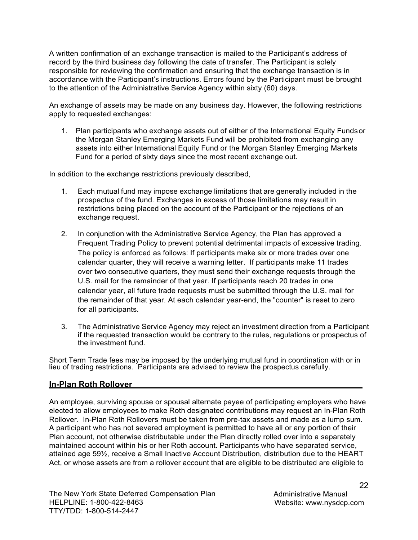A written confirmation of an exchange transaction is mailed to the Participant's address of record by the third business day following the date of transfer. The Participant is solely responsible for reviewing the confirmation and ensuring that the exchange transaction is in accordance with the Participant's instructions. Errors found by the Participant must be brought to the attention of the Administrative Service Agency within sixty (60) days.

An exchange of assets may be made on any business day. However, the following restrictions apply to requested exchanges:

1. Plan participants who exchange assets out of either of the International Equity Funds or the Morgan Stanley Emerging Markets Fund will be prohibited from exchanging any assets into either International Equity Fund or the Morgan Stanley Emerging Markets Fund for a period of sixty days since the most recent exchange out.

In addition to the exchange restrictions previously described,

- 1. Each mutual fund may impose exchange limitations that are generally included in the prospectus of the fund. Exchanges in excess of those limitations may result in restrictions being placed on the account of the Participant or the rejections of an exchange request.
- 2. In conjunction with the Administrative Service Agency, the Plan has approved a Frequent Trading Policy to prevent potential detrimental impacts of excessive trading. The policy is enforced as follows: If participants make six or more trades over one calendar quarter, they will receive a warning letter. If participants make 11 trades over two consecutive quarters, they must send their exchange requests through the U.S. mail for the remainder of that year. If participants reach 20 trades in one calendar year, all future trade requests must be submitted through the U.S. mail for the remainder of that year. At each calendar year-end, the "counter" is reset to zero for all participants.
- 3. The Administrative Service Agency may reject an investment direction from a Participant if the requested transaction would be contrary to the rules, regulations or prospectus of the investment fund.

Short Term Trade fees may be imposed by the underlying mutual fund in coordination with or in lieu of trading restrictions. Participants are advised to review the prospectus carefully.

## <span id="page-23-0"></span>**In-Plan Roth Rollover**

An employee, surviving spouse or spousal alternate payee of participating employers who have elected to allow employees to make Roth designated contributions may request an In-Plan Roth Rollover. In-Plan Roth Rollovers must be taken from pre-tax assets and made as a lump sum. A participant who has not severed employment is permitted to have all or any portion of their Plan account, not otherwise distributable under the Plan directly rolled over into a separately maintained account within his or her Roth account. Participants who have separated service, attained age 59½, receive a Small Inactive Account Distribution, distribution due to the HEART Act, or whose assets are from a rollover account that are eligible to be distributed are eligible to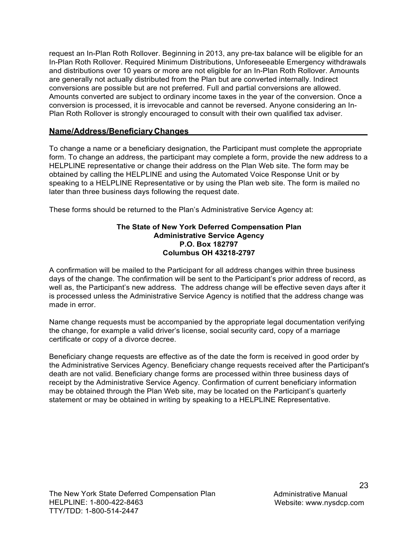request an In-Plan Roth Rollover. Beginning in 2013, any pre-tax balance will be eligible for an In-Plan Roth Rollover. Required Minimum Distributions, Unforeseeable Emergency withdrawals and distributions over 10 years or more are not eligible for an In-Plan Roth Rollover. Amounts are generally not actually distributed from the Plan but are converted internally. Indirect conversions are possible but are not preferred. Full and partial conversions are allowed. Amounts converted are subject to ordinary income taxes in the year of the conversion. Once a conversion is processed, it is irrevocable and cannot be reversed. Anyone considering an In-Plan Roth Rollover is strongly encouraged to consult with their own qualified tax adviser.

## <span id="page-24-0"></span>**Name/Address/Beneficiary Changes**

To change a name or a beneficiary designation, the Participant must complete the appropriate form. To change an address, the participant may complete a form, provide the new address to a HELPLINE representative or change their address on the Plan Web site. The form may be obtained by calling the HELPLINE and using the Automated Voice Response Unit or by speaking to a HELPLINE Representative or by using the Plan web site. The form is mailed no later than three business days following the request date.

These forms should be returned to the Plan's Administrative Service Agency at:

#### **The State of New York Deferred Compensation Plan Administrative Service Agency P.O. Box 182797 Columbus OH 43218-2797**

A confirmation will be mailed to the Participant for all address changes within three business days of the change. The confirmation will be sent to the Participant's prior address of record, as well as, the Participant's new address. The address change will be effective seven days after it is processed unless the Administrative Service Agency is notified that the address change was made in error.

Name change requests must be accompanied by the appropriate legal documentation verifying the change, for example a valid driver's license, social security card, copy of a marriage certificate or copy of a divorce decree.

Beneficiary change requests are effective as of the date the form is received in good order by the Administrative Services Agency. Beneficiary change requests received after the Participant's death are not valid. Beneficiary change forms are processed within three business days of receipt by the Administrative Service Agency. Confirmation of current beneficiary information may be obtained through the Plan Web site, may be located on the Participant's quarterly statement or may be obtained in writing by speaking to a HELPLINE Representative.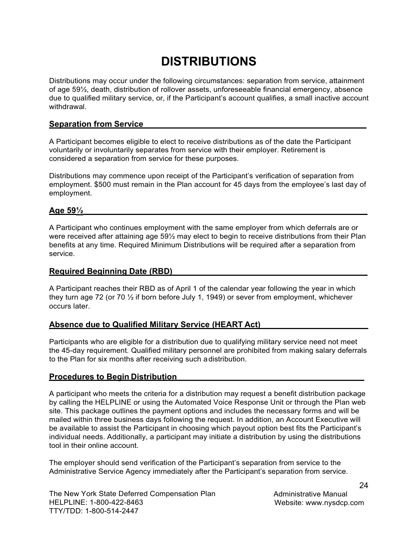## **DISTRIBUTIONS**

<span id="page-25-0"></span>Distributions may occur under the following circumstances: separation from service, attainment of age 59½, death, distribution of rollover assets, unforeseeable financial emergency, absence due to qualified military service, or, if the Participant's account qualifies, a small inactive account withdrawal.

### <span id="page-25-1"></span>**Separation from Service**

A Participant becomes eligible to elect to receive distributions as of the date the Participant voluntarily or involuntarily separates from service with their employer. Retirement is considered a separation from service for these purposes.

Distributions may commence upon receipt of the Participant's verification of separation from employment. \$500 must remain in the Plan account for 45 days from the employee's last day of employment.

### <span id="page-25-2"></span>**Age 59½**

A Participant who continues employment with the same employer from which deferrals are or were received after attaining age 59½ may elect to begin to receive distributions from their Plan benefits at any time. Required Minimum Distributions will be required after a separation from service.

### <span id="page-25-3"></span>**Required Beginning Date (RBD)**

A Participant reaches their RBD as of April 1 of the calendar year following the year in which they turn age 72 (or 70  $\frac{1}{2}$  if born before July 1, 1949) or sever from employment, whichever occurs later.

## <span id="page-25-4"></span>**Absence due to Qualified Military Service (HEART Act)**

Participants who are eligible for a distribution due to qualifying military service need not meet the 45-day requirement. Qualified military personnel are prohibited from making salary deferrals to the Plan for six months after receiving such a distribution.

## <span id="page-25-5"></span>**Procedures to Begin Distribution**

A participant who meets the criteria for a distribution may request a benefit distribution package by calling the HELPLINE or using the Automated Voice Response Unit or through the Plan web site. This package outlines the payment options and includes the necessary forms and will be mailed within three business days following the request. In addition, an Account Executive will be available to assist the Participant in choosing which payout option best fits the Participant's individual needs. Additionally, a participant may initiate a distribution by using the distributions tool in their online account.

The employer should send verification of the Participant's separation from service to the Administrative Service Agency immediately after the Participant's separation from service.

Administrative Manual Website: [www.nysdcp.com](http://www.nysdcp.com/)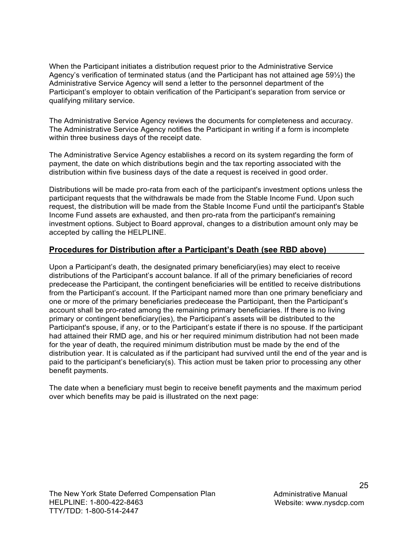When the Participant initiates a distribution request prior to the Administrative Service Agency's verification of terminated status (and the Participant has not attained age 59½) the Administrative Service Agency will send a letter to the personnel department of the Participant's employer to obtain verification of the Participant's separation from service or qualifying military service.

The Administrative Service Agency reviews the documents for completeness and accuracy. The Administrative Service Agency notifies the Participant in writing if a form is incomplete within three business days of the receipt date.

The Administrative Service Agency establishes a record on its system regarding the form of payment, the date on which distributions begin and the tax reporting associated with the distribution within five business days of the date a request is received in good order.

Distributions will be made pro-rata from each of the participant's investment options unless the participant requests that the withdrawals be made from the Stable Income Fund. Upon such request, the distribution will be made from the Stable Income Fund until the participant's Stable Income Fund assets are exhausted, and then pro-rata from the participant's remaining investment options. Subject to Board approval, changes to a distribution amount only may be accepted by calling the HELPLINE.

## <span id="page-26-0"></span>**Procedures for Distribution after a Participant's Death (see RBD above)**

Upon a Participant's death, the designated primary beneficiary(ies) may elect to receive distributions of the Participant's account balance. If all of the primary beneficiaries of record predecease the Participant, the contingent beneficiaries will be entitled to receive distributions from the Participant's account. If the Participant named more than one primary beneficiary and one or more of the primary beneficiaries predecease the Participant, then the Participant's account shall be pro-rated among the remaining primary beneficiaries. If there is no living primary or contingent beneficiary(ies), the Participant's assets will be distributed to the Participant's spouse, if any, or to the Participant's estate if there is no spouse. If the participant had attained their RMD age, and his or her required minimum distribution had not been made for the year of death, the required minimum distribution must be made by the end of the distribution year. It is calculated as if the participant had survived until the end of the year and is paid to the participant's beneficiary(s). This action must be taken prior to processing any other benefit payments.

The date when a beneficiary must begin to receive benefit payments and the maximum period over which benefits may be paid is illustrated on the next page: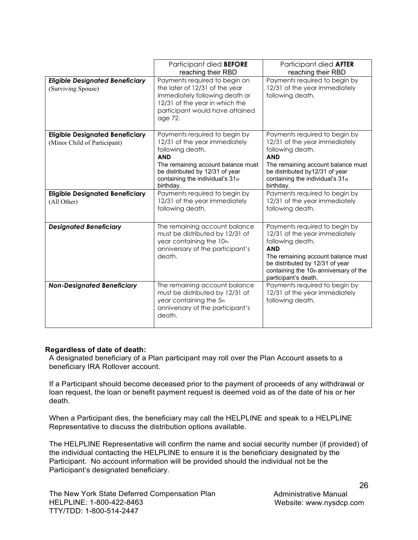|                                                                        | Participant died <b>BEFORE</b><br>reaching their RBD                                                                                                                                                                       | Participant died <b>AFTER</b><br>reaching their RBD                                                                                                                                                                                         |
|------------------------------------------------------------------------|----------------------------------------------------------------------------------------------------------------------------------------------------------------------------------------------------------------------------|---------------------------------------------------------------------------------------------------------------------------------------------------------------------------------------------------------------------------------------------|
| <b>Eligible Designated Beneficiary</b><br>(Surviving Spouse)           | Payments required to begin on<br>the later of 12/31 of the year<br>immediately following death or<br>12/31 of the year in which the<br>participant would have attained<br>age 72.                                          | Payments required to begin by<br>12/31 of the year immediately<br>following death.                                                                                                                                                          |
| <b>Eligible Designated Beneficiary</b><br>(Minor Child of Participant) | Payments required to begin by<br>12/31 of the year immediately<br>following death.<br><b>AND</b><br>The remaining account balance must<br>be distributed by 12/31 of year<br>containing the individual's 31st<br>birthday. | Payments required to begin by<br>12/31 of the year immediately<br>following death.<br><b>AND</b><br>The remaining account balance must<br>be distributed by12/31 of year<br>containing the individual's 31st<br>birthday.                   |
| <b>Eligible Designated Beneficiary</b><br>(All Other)                  | Payments required to begin by<br>12/31 of the year immediately<br>following death.                                                                                                                                         | Payments required to begin by<br>12/31 of the year immediately<br>following death.                                                                                                                                                          |
| <b>Designated Beneficiary</b>                                          | The remaining account balance<br>must be distributed by 12/31 of<br>year containing the 10th<br>anniversary of the participant's<br>death.                                                                                 | Payments required to begin by<br>12/31 of the year immediately<br>following death.<br><b>AND</b><br>The remaining account balance must<br>be distributed by 12/31 of year<br>containing the 10th anniversary of the<br>participant's death. |
| <b>Non-Designated Beneficiary</b>                                      | The remaining account balance<br>must be distributed by 12/31 of<br>year containing the 5th<br>anniversary of the participant's<br>death.                                                                                  | Payments required to begin by<br>12/31 of the year immediately<br>following death.                                                                                                                                                          |

#### **Regardless of date of death:**

A designated beneficiary of a Plan participant may roll over the Plan Account assets to a beneficiary IRA Rollover account.

If a Participant should become deceased prior to the payment of proceeds of any withdrawal or loan request, the loan or benefit payment request is deemed void as of the date of his or her death.

When a Participant dies, the beneficiary may call the HELPLINE and speak to a HELPLINE Representative to discuss the distribution options available.

The HELPLINE Representative will confirm the name and social security number (if provided) of the individual contacting the HELPLINE to ensure it is the beneficiary designated by the Participant. No account information will be provided should the individual not be the Participant's designated beneficiary.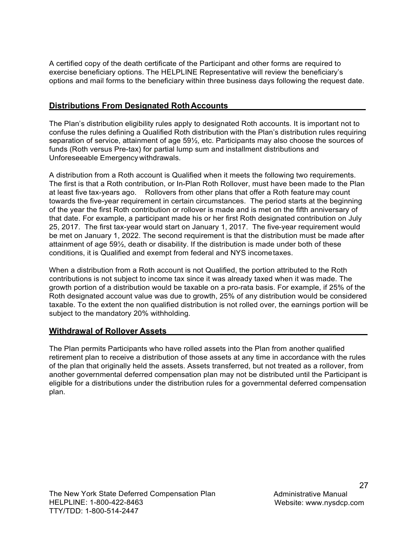A certified copy of the death certificate of the Participant and other forms are required to exercise beneficiary options. The HELPLINE Representative will review the beneficiary's options and mail forms to the beneficiary within three business days following the request date.

## <span id="page-28-0"></span>**Distributions From Designated Roth Accounts**

The Plan's distribution eligibility rules apply to designated Roth accounts. It is important not to confuse the rules defining a Qualified Roth distribution with the Plan's distribution rules requiring separation of service, attainment of age 59½, etc. Participants may also choose the sources of funds (Roth versus Pre-tax) for partial lump sum and installment distributions and Unforeseeable Emergency withdrawals.

A distribution from a Roth account is Qualified when it meets the following two requirements. The first is that a Roth contribution, or In-Plan Roth Rollover, must have been made to the Plan at least five tax-years ago. Rollovers from other plans that offer a Roth feature may count towards the five-year requirement in certain circumstances. The period starts at the beginning of the year the first Roth contribution or rollover is made and is met on the fifth anniversary of that date. For example, a participant made his or her first Roth designated contribution on July 25, 2017. The first tax-year would start on January 1, 2017. The five-year requirement would be met on January 1, 2022. The second requirement is that the distribution must be made after attainment of age 59½, death or disability. If the distribution is made under both of these conditions, it is Qualified and exempt from federal and NYS income taxes.

When a distribution from a Roth account is not Qualified, the portion attributed to the Roth contributions is not subject to income tax since it was already taxed when it was made. The growth portion of a distribution would be taxable on a pro-rata basis. For example, if 25% of the Roth designated account value was due to growth, 25% of any distribution would be considered taxable. To the extent the non qualified distribution is not rolled over, the earnings portion will be subject to the mandatory 20% withholding.

## <span id="page-28-1"></span>**Withdrawal of Rollover Assets**

The Plan permits Participants who have rolled assets into the Plan from another qualified retirement plan to receive a distribution of those assets at any time in accordance with the rules of the plan that originally held the assets. Assets transferred, but not treated as a rollover, from another governmental deferred compensation plan may not be distributed until the Participant is eligible for a distributions under the distribution rules for a governmental deferred compensation plan.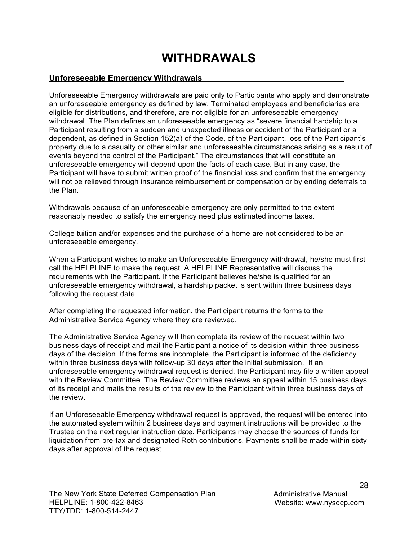## **WITHDRAWALS**

## <span id="page-29-1"></span><span id="page-29-0"></span>**Unforeseeable Emergency Withdrawals**

Unforeseeable Emergency withdrawals are paid only to Participants who apply and demonstrate an unforeseeable emergency as defined by law. Terminated employees and beneficiaries are eligible for distributions, and therefore, are not eligible for an unforeseeable emergency withdrawal. The Plan defines an unforeseeable emergency as "severe financial hardship to a Participant resulting from a sudden and unexpected illness or accident of the Participant or a dependent, as defined in Section 152(a) of the Code, of the Participant, loss of the Participant's property due to a casualty or other similar and unforeseeable circumstances arising as a result of events beyond the control of the Participant." The circumstances that will constitute an unforeseeable emergency will depend upon the facts of each case. But in any case, the Participant will have to submit written proof of the financial loss and confirm that the emergency will not be relieved through insurance reimbursement or compensation or by ending deferrals to the Plan.

Withdrawals because of an unforeseeable emergency are only permitted to the extent reasonably needed to satisfy the emergency need plus estimated income taxes.

College tuition and/or expenses and the purchase of a home are not considered to be an unforeseeable emergency.

When a Participant wishes to make an Unforeseeable Emergency withdrawal, he/she must first call the HELPLINE to make the request. A HELPLINE Representative will discuss the requirements with the Participant. If the Participant believes he/she is qualified for an unforeseeable emergency withdrawal, a hardship packet is sent within three business days following the request date.

After completing the requested information, the Participant returns the forms to the Administrative Service Agency where they are reviewed.

The Administrative Service Agency will then complete its review of the request within two business days of receipt and mail the Participant a notice of its decision within three business days of the decision. If the forms are incomplete, the Participant is informed of the deficiency within three business days with follow-up 30 days after the initial submission. If an unforeseeable emergency withdrawal request is denied, the Participant may file a written appeal with the Review Committee. The Review Committee reviews an appeal within 15 business days of its receipt and mails the results of the review to the Participant within three business days of the review.

If an Unforeseeable Emergency withdrawal request is approved, the request will be entered into the automated system within 2 business days and payment instructions will be provided to the Trustee on the next regular instruction date. Participants may choose the sources of funds for liquidation from pre-tax and designated Roth contributions. Payments shall be made within sixty days after approval of the request.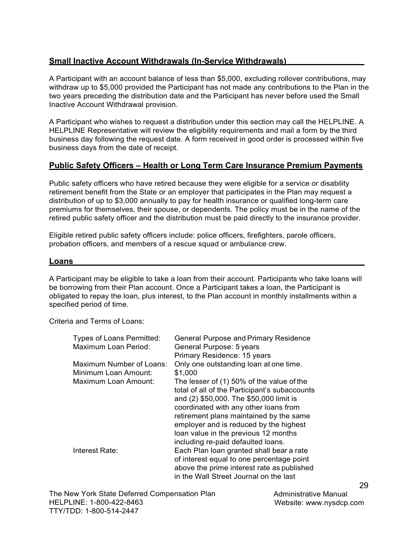## <span id="page-30-0"></span>**Small Inactive Account Withdrawals (In-Service Withdrawals)**

A Participant with an account balance of less than \$5,000, excluding rollover contributions, may withdraw up to \$5,000 provided the Participant has not made any contributions to the Plan in the two years preceding the distribution date and the Participant has never before used the Small Inactive Account Withdrawal provision.

A Participant who wishes to request a distribution under this section may call the HELPLINE. A HELPLINE Representative will review the eligibility requirements and mail a form by the third business day following the request date. A form received in good order is processed within five business days from the date of receipt.

## <span id="page-30-1"></span>**Public Safety Officers – Health or Long Term Care Insurance Premium Payments**

Public safety officers who have retired because they were eligible for a service or disability retirement benefit from the State or an employer that participates in the Plan may request a distribution of up to \$3,000 annually to pay for health insurance or qualified long-term care premiums for themselves, their spouse, or dependents. The policy must be in the name of the retired public safety officer and the distribution must be paid directly to the insurance provider.

Eligible retired public safety officers include: police officers, firefighters, parole officers, probation officers, and members of a rescue squad or ambulance crew.

### <span id="page-30-2"></span>**Loans**

A Participant may be eligible to take a loan from their account. Participants who take loans will be borrowing from their Plan account. Once a Participant takes a loan, the Participant is obligated to repay the loan, plus interest, to the Plan account in monthly installments within a specified period of time.

Criteria and Terms of Loans:

| <b>Types of Loans Permitted:</b> | <b>General Purpose and Primary Residence</b>  |
|----------------------------------|-----------------------------------------------|
| <b>Maximum Loan Period:</b>      | General Purpose: 5 years                      |
|                                  | Primary Residence: 15 years                   |
| Maximum Number of Loans:         | Only one outstanding loan at one time.        |
| Minimum Loan Amount:             | \$1,000                                       |
| Maximum Loan Amount:             | The lesser of (1) 50% of the value of the     |
|                                  | total of all of the Participant's subaccounts |
|                                  | and (2) \$50,000. The \$50,000 limit is       |
|                                  | coordinated with any other loans from         |
|                                  | retirement plans maintained by the same       |
|                                  | employer and is reduced by the highest        |
|                                  | loan value in the previous 12 months          |
|                                  | including re-paid defaulted loans.            |
| Interest Rate:                   | Each Plan loan granted shall bear a rate      |
|                                  | of interest equal to one percentage point     |
|                                  | above the prime interest rate as published    |
|                                  | in the Wall Street Journal on the last        |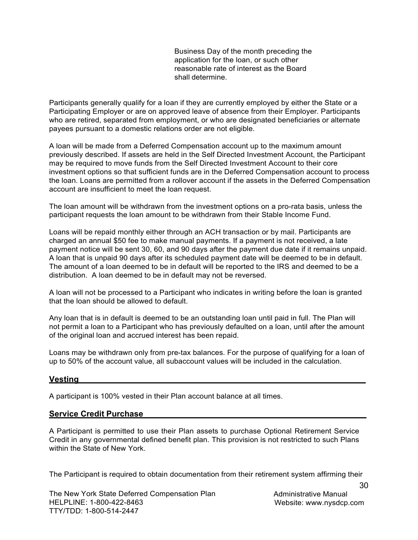Business Day of the month preceding the application for the loan, or such other reasonable rate of interest as the Board shall determine.

Participants generally qualify for a loan if they are currently employed by either the State or a Participating Employer or are on approved leave of absence from their Employer. Participants who are retired, separated from employment, or who are designated beneficiaries or alternate payees pursuant to a domestic relations order are not eligible.

A loan will be made from a Deferred Compensation account up to the maximum amount previously described. If assets are held in the Self Directed Investment Account, the Participant may be required to move funds from the Self Directed Investment Account to their core investment options so that sufficient funds are in the Deferred Compensation account to process the loan. Loans are permitted from a rollover account if the assets in the Deferred Compensation account are insufficient to meet the loan request.

The loan amount will be withdrawn from the investment options on a pro-rata basis, unless the participant requests the loan amount to be withdrawn from their Stable Income Fund.

Loans will be repaid monthly either through an ACH transaction or by mail. Participants are charged an annual \$50 fee to make manual payments. If a payment is not received, a late payment notice will be sent 30, 60, and 90 days after the payment due date if it remains unpaid. A loan that is unpaid 90 days after its scheduled payment date will be deemed to be in default. The amount of a loan deemed to be in default will be reported to the IRS and deemed to be a distribution. A loan deemed to be in default may not be reversed.

A loan will not be processed to a Participant who indicates in writing before the loan is granted that the loan should be allowed to default.

Any loan that is in default is deemed to be an outstanding loan until paid in full. The Plan will not permit a loan to a Participant who has previously defaulted on a loan, until after the amount of the original loan and accrued interest has been repaid.

Loans may be withdrawn only from pre-tax balances. For the purpose of qualifying for a loan of up to 50% of the account value, all subaccount values will be included in the calculation.

#### <span id="page-31-0"></span>**Vesting**

A participant is 100% vested in their Plan account balance at all times.

#### <span id="page-31-1"></span>**Service Credit Purchase**

A Participant is permitted to use their Plan assets to purchase Optional Retirement Service Credit in any governmental defined benefit plan. This provision is not restricted to such Plans within the State of New York.

The Participant is required to obtain documentation from their retirement system affirming their

The New York State Deferred Compensation Plan HELPLINE: 1-800-422-8463 TTY/TDD: 1-800-514-2447

Administrative Manual Website: [www.nysdcp.com](http://www.nysdcp.com/)

30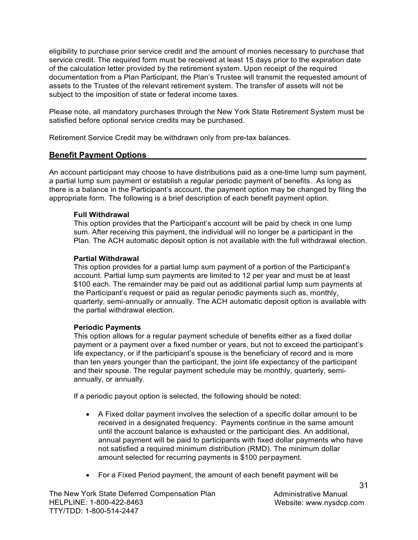eligibility to purchase prior service credit and the amount of monies necessary to purchase that service credit. The required form must be received at least 15 days prior to the expiration date of the calculation letter provided by the retirement system. Upon receipt of the required documentation from a Plan Participant, the Plan's Trustee will transmit the requested amount of assets to the Trustee of the relevant retirement system. The transfer of assets will not be subject to the imposition of state or federal income taxes.

Please note, all mandatory purchases through the New York State Retirement System must be satisfied before optional service credits may be purchased.

Retirement Service Credit may be withdrawn only from pre-tax balances.

## <span id="page-32-0"></span>**Benefit Payment Options**

An account participant may choose to have distributions paid as a one-time lump sum payment, a partial lump sum payment or establish a regular periodic payment of benefits. As long as there is a balance in the Participant's account, the payment option may be changed by filing the appropriate form. The following is a brief description of each benefit payment option.

### **Full Withdrawal**

This option provides that the Participant's account will be paid by check in one lump sum. After receiving this payment, the individual will no longer be a participant in the Plan. The ACH automatic deposit option is not available with the full withdrawal election.

### **Partial Withdrawal**

This option provides for a partial lump sum payment of a portion of the Participant's account. Partial lump sum payments are limited to 12 per year and must be at least \$100 each. The remainder may be paid out as additional partial lump sum payments at the Participant's request or paid as regular periodic payments such as, monthly, quarterly, semi-annually or annually. The ACH automatic deposit option is available with the partial withdrawal election.

### **Periodic Payments**

This option allows for a regular payment schedule of benefits either as a fixed dollar payment or a payment over a fixed number or years, but not to exceed the participant's life expectancy, or if the participant's spouse is the beneficiary of record and is more than ten years younger than the participant, the joint life expectancy of the participant and their spouse. The regular payment schedule may be monthly, quarterly, semiannually, or annually.

If a periodic payout option is selected, the following should be noted:

- A Fixed dollar payment involves the selection of a specific dollar amount to be received in a designated frequency. Payments continue in the same amount until the account balance is exhausted or the participant dies. An additional, annual payment will be paid to participants with fixed dollar payments who have not satisfied a required minimum distribution (RMD). The minimum dollar amount selected for recurring payments is \$100 per payment.
- For a Fixed Period payment, the amount of each benefit payment will be

Administrative Manual Website: [www.nysdcp.com](http://www.nysdcp.com/)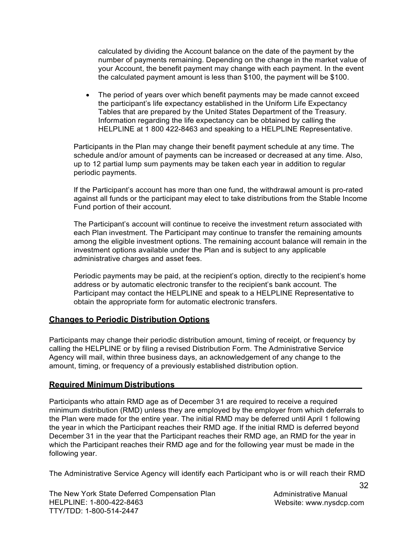calculated by dividing the Account balance on the date of the payment by the number of payments remaining. Depending on the change in the market value of your Account, the benefit payment may change with each payment. In the event the calculated payment amount is less than \$100, the payment will be \$100.

 The period of years over which benefit payments may be made cannot exceed the participant's life expectancy established in the Uniform Life Expectancy Tables that are prepared by the United States Department of the Treasury. Information regarding the life expectancy can be obtained by calling the HELPLINE at 1 800 422-8463 and speaking to a HELPLINE Representative.

Participants in the Plan may change their benefit payment schedule at any time. The schedule and/or amount of payments can be increased or decreased at any time. Also, up to 12 partial lump sum payments may be taken each year in addition to regular periodic payments.

If the Participant's account has more than one fund, the withdrawal amount is pro-rated against all funds or the participant may elect to take distributions from the Stable Income Fund portion of their account.

The Participant's account will continue to receive the investment return associated with each Plan investment. The Participant may continue to transfer the remaining amounts among the eligible investment options. The remaining account balance will remain in the investment options available under the Plan and is subject to any applicable administrative charges and asset fees.

Periodic payments may be paid, at the recipient's option, directly to the recipient's home address or by automatic electronic transfer to the recipient's bank account. The Participant may contact the HELPLINE and speak to a HELPLINE Representative to obtain the appropriate form for automatic electronic transfers.

### <span id="page-33-0"></span>**Changes to Periodic Distribution Options**

Participants may change their periodic distribution amount, timing of receipt, or frequency by calling the HELPLINE or by filing a revised Distribution Form. The Administrative Service Agency will mail, within three business days, an acknowledgement of any change to the amount, timing, or frequency of a previously established distribution option.

### <span id="page-33-1"></span>**Required Minimum Distributions**

Participants who attain RMD age as of December 31 are required to receive a required minimum distribution (RMD) unless they are employed by the employer from which deferrals to the Plan were made for the entire year. The initial RMD may be deferred until April 1 following the year in which the Participant reaches their RMD age. If the initial RMD is deferred beyond December 31 in the year that the Participant reaches their RMD age, an RMD for the year in which the Participant reaches their RMD age and for the following year must be made in the following year.

The Administrative Service Agency will identify each Participant who is or will reach their RMD

The New York State Deferred Compensation Plan HELPLINE: 1-800-422-8463 TTY/TDD: 1-800-514-2447

Administrative Manual Website: [www.nysdcp.com](http://www.nysdcp.com/)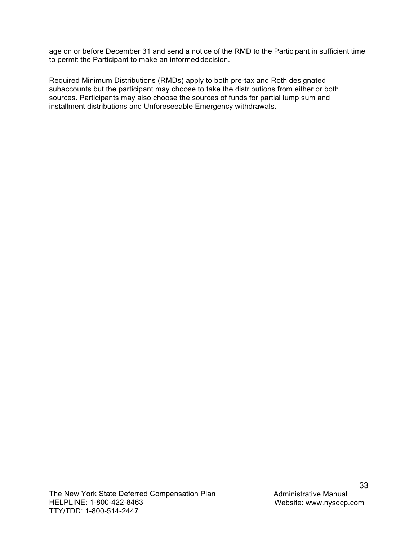age on or before December 31 and send a notice of the RMD to the Participant in sufficient time to permit the Participant to make an informed decision.

Required Minimum Distributions (RMDs) apply to both pre-tax and Roth designated subaccounts but the participant may choose to take the distributions from either or both sources. Participants may also choose the sources of funds for partial lump sum and installment distributions and Unforeseeable Emergency withdrawals.

The New York State Deferred Compensation Plan HELPLINE: 1-800-422-8463 TTY/TDD: 1-800-514-2447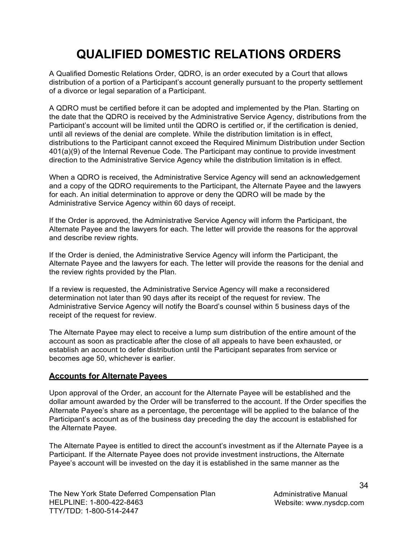## **QUALIFIED DOMESTIC RELATIONS ORDERS**

<span id="page-35-0"></span>A Qualified Domestic Relations Order, QDRO, is an order executed by a Court that allows distribution of a portion of a Participant's account generally pursuant to the property settlement of a divorce or legal separation of a Participant.

A QDRO must be certified before it can be adopted and implemented by the Plan. Starting on the date that the QDRO is received by the Administrative Service Agency, distributions from the Participant's account will be limited until the QDRO is certified or, if the certification is denied, until all reviews of the denial are complete. While the distribution limitation is in effect, distributions to the Participant cannot exceed the Required Minimum Distribution under Section 401(a)(9) of the Internal Revenue Code. The Participant may continue to provide investment direction to the Administrative Service Agency while the distribution limitation is in effect.

When a QDRO is received, the Administrative Service Agency will send an acknowledgement and a copy of the QDRO requirements to the Participant, the Alternate Payee and the lawyers for each. An initial determination to approve or deny the QDRO will be made by the Administrative Service Agency within 60 days of receipt.

If the Order is approved, the Administrative Service Agency will inform the Participant, the Alternate Payee and the lawyers for each. The letter will provide the reasons for the approval and describe review rights.

If the Order is denied, the Administrative Service Agency will inform the Participant, the Alternate Payee and the lawyers for each. The letter will provide the reasons for the denial and the review rights provided by the Plan.

If a review is requested, the Administrative Service Agency will make a reconsidered determination not later than 90 days after its receipt of the request for review. The Administrative Service Agency will notify the Board's counsel within 5 business days of the receipt of the request for review.

The Alternate Payee may elect to receive a lump sum distribution of the entire amount of the account as soon as practicable after the close of all appeals to have been exhausted, or establish an account to defer distribution until the Participant separates from service or becomes age 50, whichever is earlier.

### <span id="page-35-1"></span>**Accounts for Alternate Payees**

Upon approval of the Order, an account for the Alternate Payee will be established and the dollar amount awarded by the Order will be transferred to the account. If the Order specifies the Alternate Payee's share as a percentage, the percentage will be applied to the balance of the Participant's account as of the business day preceding the day the account is established for the Alternate Payee.

The Alternate Payee is entitled to direct the account's investment as if the Alternate Payee is a Participant. If the Alternate Payee does not provide investment instructions, the Alternate Payee's account will be invested on the day it is established in the same manner as the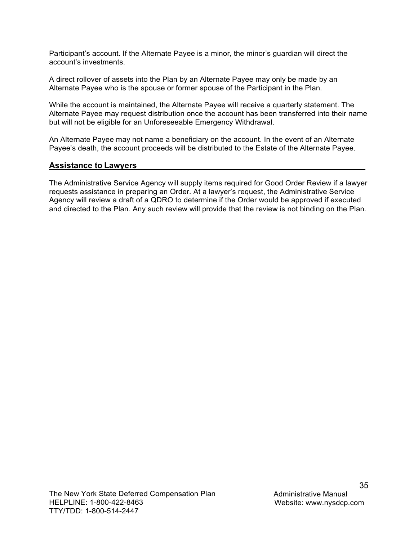Participant's account. If the Alternate Payee is a minor, the minor's guardian will direct the account's investments.

A direct rollover of assets into the Plan by an Alternate Payee may only be made by an Alternate Payee who is the spouse or former spouse of the Participant in the Plan.

While the account is maintained, the Alternate Payee will receive a quarterly statement. The Alternate Payee may request distribution once the account has been transferred into their name but will not be eligible for an Unforeseeable Emergency Withdrawal.

An Alternate Payee may not name a beneficiary on the account. In the event of an Alternate Payee's death, the account proceeds will be distributed to the Estate of the Alternate Payee.

## <span id="page-36-0"></span>**Assistance to Lawyers**

The Administrative Service Agency will supply items required for Good Order Review if a lawyer requests assistance in preparing an Order. At a lawyer's request, the Administrative Service Agency will review a draft of a QDRO to determine if the Order would be approved if executed and directed to the Plan. Any such review will provide that the review is not binding on the Plan.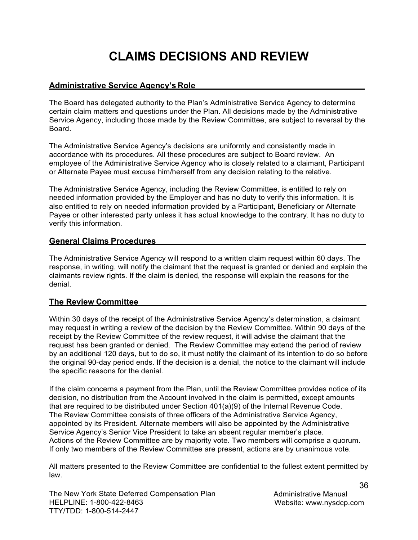## **CLAIMS DECISIONS AND REVIEW**

## <span id="page-37-1"></span><span id="page-37-0"></span>**Administrative Service Agency's Role**

The Board has delegated authority to the Plan's Administrative Service Agency to determine certain claim matters and questions under the Plan. All decisions made by the Administrative Service Agency, including those made by the Review Committee, are subject to reversal by the Board.

The Administrative Service Agency's decisions are uniformly and consistently made in accordance with its procedures. All these procedures are subject to Board review. An employee of the Administrative Service Agency who is closely related to a claimant, Participant or Alternate Payee must excuse him/herself from any decision relating to the relative.

The Administrative Service Agency, including the Review Committee, is entitled to rely on needed information provided by the Employer and has no duty to verify this information. It is also entitled to rely on needed information provided by a Participant, Beneficiary or Alternate Payee or other interested party unless it has actual knowledge to the contrary. It has no duty to verify this information.

### <span id="page-37-2"></span>**General Claims Procedures**

The Administrative Service Agency will respond to a written claim request within 60 days. The response, in writing, will notify the claimant that the request is granted or denied and explain the claimants review rights. If the claim is denied, the response will explain the reasons for the denial.

### <span id="page-37-3"></span>**The Review Committee**

Within 30 days of the receipt of the Administrative Service Agency's determination, a claimant may request in writing a review of the decision by the Review Committee. Within 90 days of the receipt by the Review Committee of the review request, it will advise the claimant that the request has been granted or denied. The Review Committee may extend the period of review by an additional 120 days, but to do so, it must notify the claimant of its intention to do so before the original 90-day period ends. If the decision is a denial, the notice to the claimant will include the specific reasons for the denial.

If the claim concerns a payment from the Plan, until the Review Committee provides notice of its decision, no distribution from the Account involved in the claim is permitted, except amounts that are required to be distributed under Section 401(a)(9) of the Internal Revenue Code. The Review Committee consists of three officers of the Administrative Service Agency, appointed by its President. Alternate members will also be appointed by the Administrative Service Agency's Senior Vice President to take an absent regular member's place. Actions of the Review Committee are by majority vote. Two members will comprise a quorum. If only two members of the Review Committee are present, actions are by unanimous vote.

All matters presented to the Review Committee are confidential to the fullest extent permitted by law.

The New York State Deferred Compensation Plan HELPLINE: 1-800-422-8463 TTY/TDD: 1-800-514-2447

Administrative Manual Website: [www.nysdcp.com](http://www.nysdcp.com/)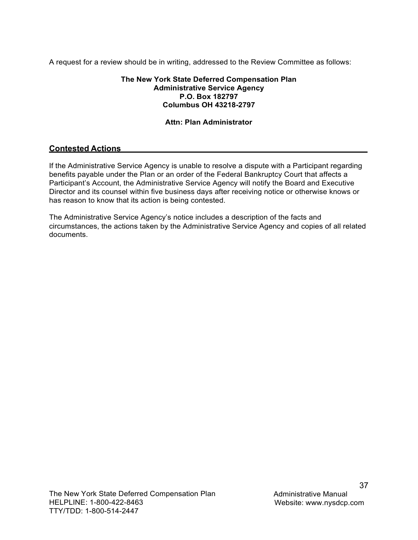A request for a review should be in writing, addressed to the Review Committee as follows:

#### **The New York State Deferred Compensation Plan Administrative Service Agency P.O. Box 182797 Columbus OH 43218-2797**

## **Attn: Plan Administrator**

## **Contested Actions**

If the Administrative Service Agency is unable to resolve a dispute with a Participant regarding benefits payable under the Plan or an order of the Federal Bankruptcy Court that affects a Participant's Account, the Administrative Service Agency will notify the Board and Executive Director and its counsel within five business days after receiving notice or otherwise knows or has reason to know that its action is being contested.

The Administrative Service Agency's notice includes a description of the facts and circumstances, the actions taken by the Administrative Service Agency and copies of all related documents.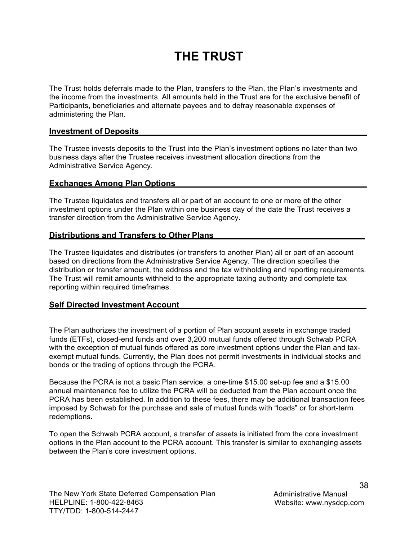## **THE TRUST**

<span id="page-39-0"></span>The Trust holds deferrals made to the Plan, transfers to the Plan, the Plan's investments and the income from the investments. All amounts held in the Trust are for the exclusive benefit of Participants, beneficiaries and alternate payees and to defray reasonable expenses of administering the Plan.

#### <span id="page-39-1"></span>**Investment of Deposits**

The Trustee invests deposits to the Trust into the Plan's investment options no later than two business days after the Trustee receives investment allocation directions from the Administrative Service Agency.

#### <span id="page-39-2"></span>**Exchanges Among Plan Options**

The Trustee liquidates and transfers all or part of an account to one or more of the other investment options under the Plan within one business day of the date the Trust receives a transfer direction from the Administrative Service Agency.

### <span id="page-39-3"></span>**Distributions and Transfers to Other Plans**

The Trustee liquidates and distributes (or transfers to another Plan) all or part of an account based on directions from the Administrative Service Agency. The direction specifies the distribution or transfer amount, the address and the tax withholding and reporting requirements. The Trust will remit amounts withheld to the appropriate taxing authority and complete tax reporting within required timeframes.

#### <span id="page-39-4"></span>**Self Directed Investment Account**

The Plan authorizes the investment of a portion of Plan account assets in exchange traded funds (ETFs), closed-end funds and over 3,200 mutual funds offered through Schwab PCRA with the exception of mutual funds offered as core investment options under the Plan and taxexempt mutual funds. Currently, the Plan does not permit investments in individual stocks and bonds or the trading of options through the PCRA.

Because the PCRA is not a basic Plan service, a one-time \$15.00 set-up fee and a \$15.00 annual maintenance fee to utilize the PCRA will be deducted from the Plan account once the PCRA has been established. In addition to these fees, there may be additional transaction fees imposed by Schwab for the purchase and sale of mutual funds with "loads" or for short-term redemptions.

To open the Schwab PCRA account, a transfer of assets is initiated from the core investment options in the Plan account to the PCRA account. This transfer is similar to exchanging assets between the Plan's core investment options.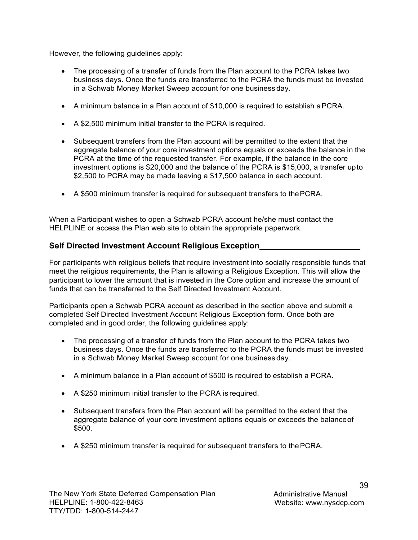However, the following guidelines apply:

- The processing of a transfer of funds from the Plan account to the PCRA takes two business days. Once the funds are transferred to the PCRA the funds must be invested in a Schwab Money Market Sweep account for one business day.
- A minimum balance in a Plan account of \$10,000 is required to establish a PCRA.
- A \$2,500 minimum initial transfer to the PCRA is required.
- Subsequent transfers from the Plan account will be permitted to the extent that the aggregate balance of your core investment options equals or exceeds the balance in the PCRA at the time of the requested transfer. For example, if the balance in the core investment options is \$20,000 and the balance of the PCRA is \$15,000, a transfer up to \$2,500 to PCRA may be made leaving a \$17,500 balance in each account.
- A \$500 minimum transfer is required for subsequent transfers to the PCRA.

When a Participant wishes to open a Schwab PCRA account he/she must contact the HELPLINE or access the Plan web site to obtain the appropriate paperwork.

## <span id="page-40-0"></span>**Self Directed Investment Account Religious Exception**

For participants with religious beliefs that require investment into socially responsible funds that meet the religious requirements, the Plan is allowing a Religious Exception. This will allow the participant to lower the amount that is invested in the Core option and increase the amount of funds that can be transferred to the Self Directed Investment Account.

Participants open a Schwab PCRA account as described in the section above and submit a completed Self Directed Investment Account Religious Exception form. Once both are completed and in good order, the following guidelines apply:

- The processing of a transfer of funds from the Plan account to the PCRA takes two business days. Once the funds are transferred to the PCRA the funds must be invested in a Schwab Money Market Sweep account for one business day.
- A minimum balance in a Plan account of \$500 is required to establish a PCRA.
- A \$250 minimum initial transfer to the PCRA is required.
- Subsequent transfers from the Plan account will be permitted to the extent that the aggregate balance of your core investment options equals or exceeds the balance of \$500.
- A \$250 minimum transfer is required for subsequent transfers to the PCRA.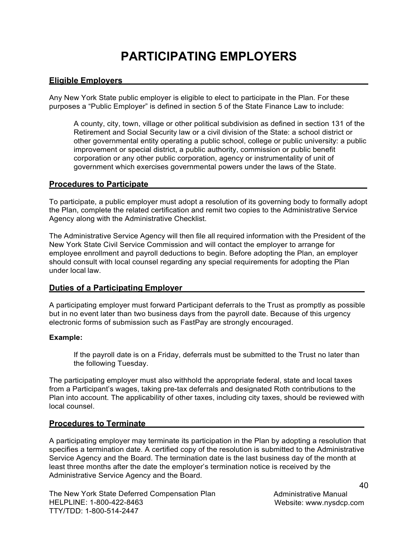## **PARTICIPATING EMPLOYERS**

### <span id="page-41-1"></span><span id="page-41-0"></span>**Eligible Employers**

Any New York State public employer is eligible to elect to participate in the Plan. For these purposes a "Public Employer" is defined in section 5 of the State Finance Law to include:

A county, city, town, village or other political subdivision as defined in section 131 of the Retirement and Social Security law or a civil division of the State: a school district or other governmental entity operating a public school, college or public university: a public improvement or special district, a public authority, commission or public benefit corporation or any other public corporation, agency or instrumentality of unit of government which exercises governmental powers under the laws of the State.

#### <span id="page-41-2"></span>**Procedures to Participate**

To participate, a public employer must adopt a resolution of its governing body to formally adopt the Plan, complete the related certification and remit two copies to the Administrative Service Agency along with the Administrative Checklist.

The Administrative Service Agency will then file all required information with the President of the New York State Civil Service Commission and will contact the employer to arrange for employee enrollment and payroll deductions to begin. Before adopting the Plan, an employer should consult with local counsel regarding any special requirements for adopting the Plan under local law.

### <span id="page-41-3"></span>**Duties of a Participating Employer**

A participating employer must forward Participant deferrals to the Trust as promptly as possible but in no event later than two business days from the payroll date. Because of this urgency electronic forms of submission such as FastPay are strongly encouraged.

#### **Example:**

If the payroll date is on a Friday, deferrals must be submitted to the Trust no later than the following Tuesday.

The participating employer must also withhold the appropriate federal, state and local taxes from a Participant's wages, taking pre-tax deferrals and designated Roth contributions to the Plan into account. The applicability of other taxes, including city taxes, should be reviewed with local counsel.

### <span id="page-41-4"></span>**Procedures to Terminate**

A participating employer may terminate its participation in the Plan by adopting a resolution that specifies a termination date. A certified copy of the resolution is submitted to the Administrative Service Agency and the Board. The termination date is the last business day of the month at least three months after the date the employer's termination notice is received by the Administrative Service Agency and the Board.

The New York State Deferred Compensation Plan HELPLINE: 1-800-422-8463 TTY/TDD: 1-800-514-2447

Administrative Manual Website: [www.nysdcp.com](http://www.nysdcp.com/)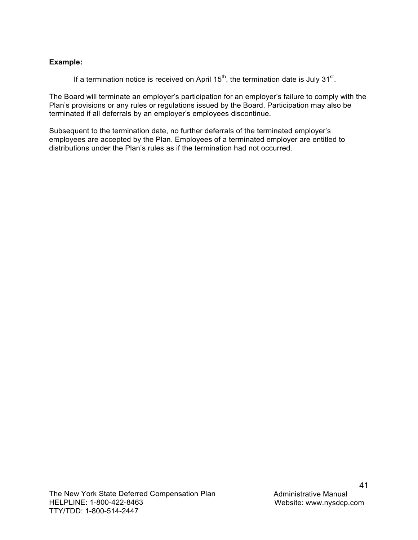### **Example:**

If a termination notice is received on April 15<sup>th</sup>, the termination date is July 31<sup>st</sup>.

The Board will terminate an employer's participation for an employer's failure to comply with the Plan's provisions or any rules or regulations issued by the Board. Participation may also be terminated if all deferrals by an employer's employees discontinue.

Subsequent to the termination date, no further deferrals of the terminated employer's employees are accepted by the Plan. Employees of a terminated employer are entitled to distributions under the Plan's rules as if the termination had not occurred.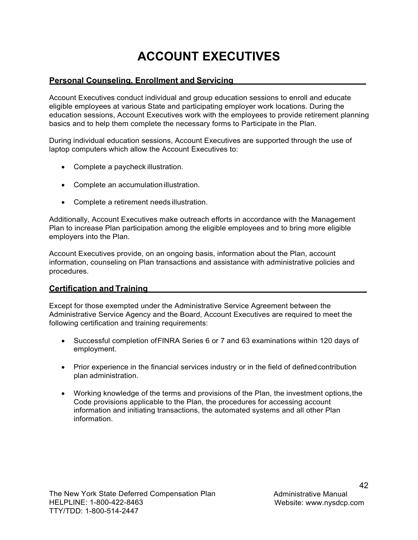## **ACCOUNT EXECUTIVES**

## <span id="page-43-1"></span><span id="page-43-0"></span>**Personal Counseling, Enrollment and Servicing**

Account Executives conduct individual and group education sessions to enroll and educate eligible employees at various State and participating employer work locations. During the education sessions, Account Executives work with the employees to provide retirement planning basics and to help them complete the necessary forms to Participate in the Plan.

During individual education sessions, Account Executives are supported through the use of laptop computers which allow the Account Executives to:

- Complete a paycheck illustration.
- Complete an accumulation illustration.
- Complete a retirement needs illustration.

Additionally, Account Executives make outreach efforts in accordance with the Management Plan to increase Plan participation among the eligible employees and to bring more eligible employers into the Plan.

Account Executives provide, on an ongoing basis, information about the Plan, account information, counseling on Plan transactions and assistance with administrative policies and procedures.

### <span id="page-43-2"></span>**Certification and Training**

Except for those exempted under the Administrative Service Agreement between the Administrative Service Agency and the Board, Account Executives are required to meet the following certification and training requirements:

- Successful completion of FINRA Series 6 or 7 and 63 examinations within 120 days of employment.
- Prior experience in the financial services industry or in the field of defined contribution plan administration.
- Working knowledge of the terms and provisions of the Plan, the investment options, the Code provisions applicable to the Plan, the procedures for accessing account information and initiating transactions, the automated systems and all other Plan information.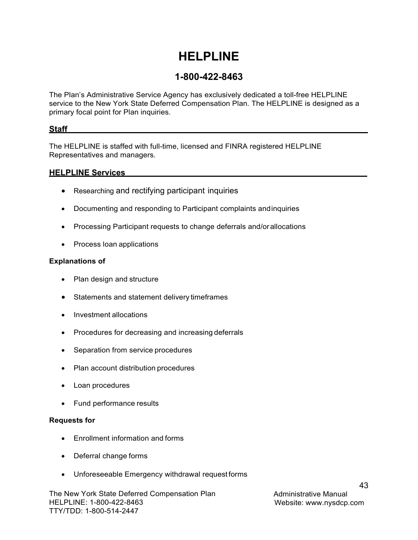## **HELPLINE**

## **1-800-422-8463**

<span id="page-44-0"></span>The Plan's Administrative Service Agency has exclusively dedicated a toll-free HELPLINE service to the New York State Deferred Compensation Plan. The HELPLINE is designed as a primary focal point for Plan inquiries.

### <span id="page-44-1"></span>**Staff**

The HELPLINE is staffed with full-time, licensed and FINRA registered HELPLINE Representatives and managers.

### <span id="page-44-2"></span>**HELPLINE Services**

- Researching and rectifying participant inquiries
- Documenting and responding to Participant complaints and inquiries
- Processing Participant requests to change deferrals and/or allocations
- Process loan applications

### **Explanations of**

- Plan design and structure
- Statements and statement delivery timeframes
- Investment allocations
- Procedures for decreasing and increasing deferrals
- Separation from service procedures
- Plan account distribution procedures
- Loan procedures
- Fund performance results

### **Requests for**

- Enrollment information and forms
- Deferral change forms
- Unforeseeable Emergency withdrawal request forms

The New York State Deferred Compensation Plan HELPLINE: 1-800-422-8463 TTY/TDD: 1-800-514-2447

Administrative Manual Website: [www.nysdcp.com](http://www.nysdcp.com/)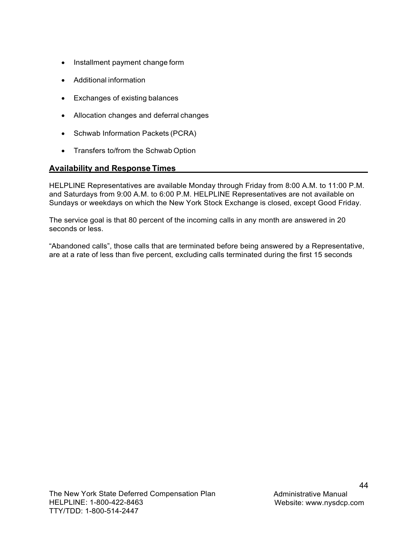- Installment payment change form
- Additional information
- Exchanges of existing balances
- Allocation changes and deferral changes
- Schwab Information Packets (PCRA)
- Transfers to/from the Schwab Option

### <span id="page-45-0"></span>**Availability and Response Times**

HELPLINE Representatives are available Monday through Friday from 8:00 A.M. to 11:00 P.M. and Saturdays from 9:00 A.M. to 6:00 P.M. HELPLINE Representatives are not available on Sundays or weekdays on which the New York Stock Exchange is closed, except Good Friday.

The service goal is that 80 percent of the incoming calls in any month are answered in 20 seconds or less.

"Abandoned calls", those calls that are terminated before being answered by a Representative, are at a rate of less than five percent, excluding calls terminated during the first 15 seconds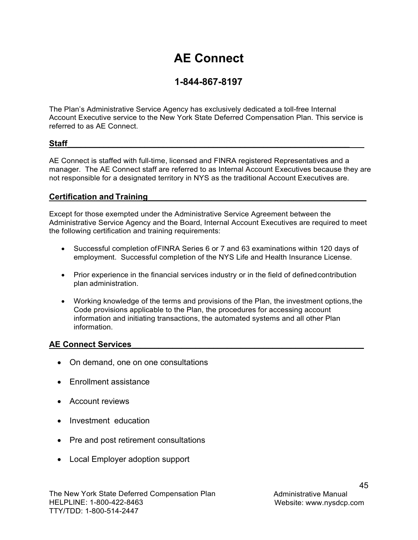## **AE Connect**

## **1-844-867-8197**

<span id="page-46-0"></span>The Plan's Administrative Service Agency has exclusively dedicated a toll-free Internal Account Executive service to the New York State Deferred Compensation Plan. This service is referred to as AE Connect.

## <span id="page-46-1"></span> $Staff$   $\qquad \qquad$

AE Connect is staffed with full-time, licensed and FINRA registered Representatives and a manager. The AE Connect staff are referred to as Internal Account Executives because they are not responsible for a designated territory in NYS as the traditional Account Executives are.

## <span id="page-46-2"></span>**Certification and Training\_\_\_\_\_\_\_\_\_\_\_\_\_\_\_\_\_\_\_\_\_\_\_\_\_\_\_\_\_\_\_\_\_\_\_\_\_\_\_\_\_\_\_\_\_\_\_\_**

Except for those exempted under the Administrative Service Agreement between the Administrative Service Agency and the Board, Internal Account Executives are required to meet the following certification and training requirements:

- Successful completion of FINRA Series 6 or 7 and 63 examinations within 120 days of employment. Successful completion of the NYS Life and Health Insurance License.
- Prior experience in the financial services industry or in the field of defined contribution plan administration.
- Working knowledge of the terms and provisions of the Plan, the investment options, the Code provisions applicable to the Plan, the procedures for accessing account information and initiating transactions, the automated systems and all other Plan information.

## <span id="page-46-3"></span>**AE Connect Services\_\_\_\_\_\_\_\_\_\_\_\_\_\_\_\_\_\_\_\_\_\_\_\_\_\_\_\_\_\_\_\_\_\_\_\_\_\_\_\_\_\_\_\_\_\_\_\_\_\_\_**

- On demand, one on one consultations
- Fnrollment assistance
- Account reviews
- Investment education
- Pre and post retirement consultations
- Local Employer adoption support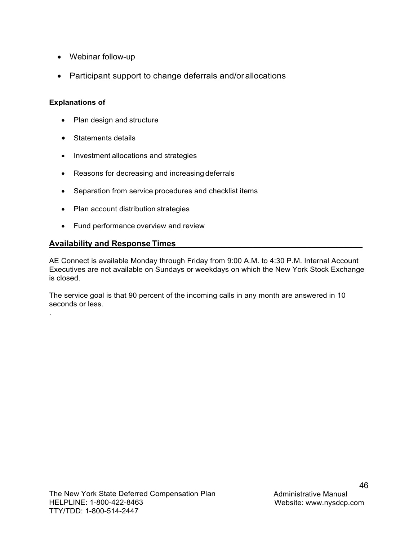- Webinar follow-up
- Participant support to change deferrals and/or allocations

## **Explanations of**

.

- Plan design and structure
- Statements details
- Investment allocations and strategies
- Reasons for decreasing and increasing deferrals
- Separation from service procedures and checklist items
- Plan account distribution strategies
- Fund performance overview and review

## <span id="page-47-0"></span>**Availability and Response Times\_\_\_\_\_\_\_\_\_\_\_\_\_\_\_\_\_\_\_\_\_\_\_\_\_\_\_\_\_\_\_\_\_\_\_\_\_\_\_\_\_**

AE Connect is available Monday through Friday from 9:00 A.M. to 4:30 P.M. Internal Account Executives are not available on Sundays or weekdays on which the New York Stock Exchange is closed.

The service goal is that 90 percent of the incoming calls in any month are answered in 10 seconds or less.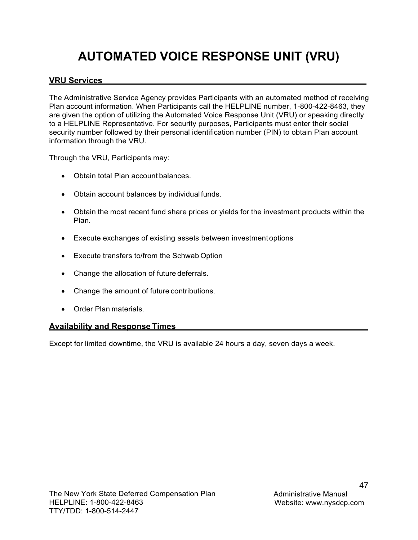## **AUTOMATED VOICE RESPONSE UNIT (VRU)**

## <span id="page-48-1"></span><span id="page-48-0"></span>**VRU Services**

The Administrative Service Agency provides Participants with an automated method of receiving Plan account information. When Participants call the HELPLINE number, 1-800-422-8463, they are given the option of utilizing the Automated Voice Response Unit (VRU) or speaking directly to a HELPLINE Representative. For security purposes, Participants must enter their social security number followed by their personal identification number (PIN) to obtain Plan account information through the VRU.

Through the VRU, Participants may:

- Obtain total Plan account balances.
- Obtain account balances by individual funds.
- Obtain the most recent fund share prices or yields for the investment products within the Plan.
- Execute exchanges of existing assets between investment options
- Execute transfers to/from the Schwab Option
- Change the allocation of future deferrals.
- Change the amount of future contributions.
- Order Plan materials.

### <span id="page-48-2"></span>**Availability and Response Times**

Except for limited downtime, the VRU is available 24 hours a day, seven days a week.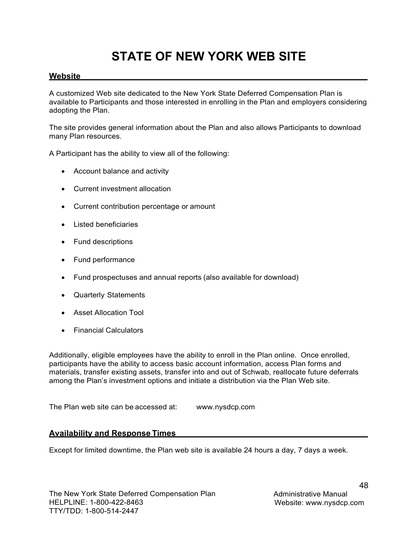## **STATE OF NEW YORK WEB SITE**

## <span id="page-49-1"></span><span id="page-49-0"></span>**Website**

A customized Web site dedicated to the New York State Deferred Compensation Plan is available to Participants and those interested in enrolling in the Plan and employers considering adopting the Plan.

The site provides general information about the Plan and also allows Participants to download many Plan resources.

A Participant has the ability to view all of the following:

- Account balance and activity
- Current investment allocation
- Current contribution percentage or amount
- Listed beneficiaries
- Fund descriptions
- Fund performance
- Fund prospectuses and annual reports (also available for download)
- Quarterly Statements
- Asset Allocation Tool
- Financial Calculators

Additionally, eligible employees have the ability to enroll in the Plan online. Once enrolled, participants have the ability to access basic account information, access Plan forms and materials, transfer existing assets, transfer into and out of Schwab, reallocate future deferrals among the Plan's investment options and initiate a distribution via the Plan Web site.

The Plan web site can be accessed at: [www.nysdcp.com](http://www.nysdcp.com/)

### <span id="page-49-2"></span>**Availability and Response Times**

Except for limited downtime, the Plan web site is available 24 hours a day, 7 days a week.